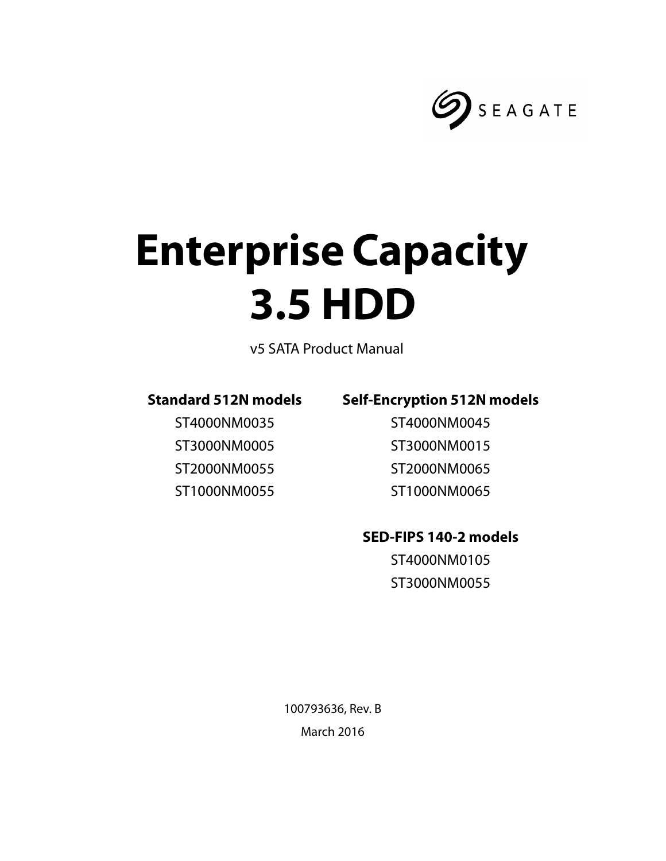

# **Enterprise Capacity 3.5 HDD**

v5 SATA Product Manual

## **Standard 512N models**

ST4000NM0035 ST3000NM0005 ST2000NM0055 ST1000NM0055

## **Self-Encryption 512N models**

ST4000NM0045 ST3000NM0015 ST2000NM0065 ST1000NM0065

## **SED-FIPS 140-2 models**

ST4000NM0105 ST3000NM0055

100793636, Rev. B March 2016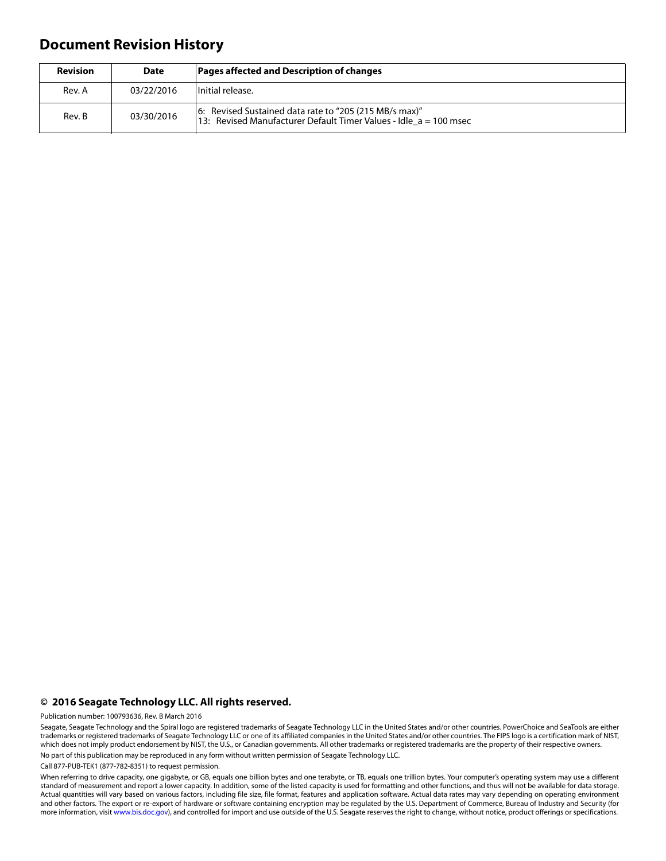## **Document Revision History**

| <b>Revision</b> | <b>Date</b> | Pages affected and Description of changes                                                                                   |  |
|-----------------|-------------|-----------------------------------------------------------------------------------------------------------------------------|--|
| Rev. A          | 03/22/2016  | Initial release.                                                                                                            |  |
| Rev. B          | 03/30/2016  | 6: Revised Sustained data rate to "205 (215 MB/s max)"<br>13: Revised Manufacturer Default Timer Values - Idle a = 100 msec |  |

#### **© 2016 Seagate Technology LLC. All rights reserved.**

Publication number: 100793636, Rev. B March 2016

Seagate, Seagate Technology and the Spiral logo are registered trademarks of Seagate Technology LLC in the United States and/or other countries. PowerChoice and SeaTools are either trademarks or registered trademarks of Seagate Technology LLC or one of its affiliated companies in the United States and/or other countries. The FIPS logo is a certification mark of NIST, which does not imply product endorsement by NIST, the U.S., or Canadian governments. All other trademarks or registered trademarks are the property of their respective owners. No part of this publication may be reproduced in any form without written permission of Seagate Technology LLC.

Call 877-PUB-TEK1 (877-782-8351) to request permission.

When referring to drive capacity, one gigabyte, or GB, equals one billion bytes and one terabyte, or TB, equals one trillion bytes. Your computer's operating system may use a different standard of measurement and report a lower capacity. In addition, some of the listed capacity is used for formatting and other functions, and thus will not be available for data storage. Actual quantities will vary based on various factors, including file size, file format, features and application software. Actual data rates may vary depending on operating environment and other factors. The export or re-export of hardware or software containing encryption may be regulated by the U.S. Department of Commerce, Bureau of Industry and Security (for more information, visit [www.bis.doc.gov](http://www.bis.doc.gov)), and controlled for import and use outside of the U.S. Seagate reserves the right to change, without notice, product offerings or specifications.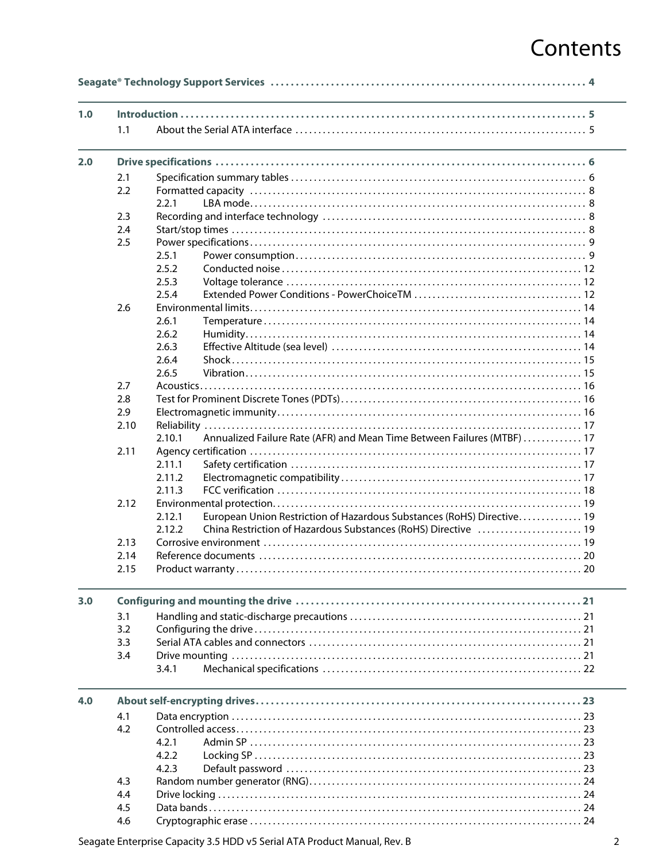# Contents

| 1.0 |      |                                                                                   |  |
|-----|------|-----------------------------------------------------------------------------------|--|
|     | 1.1  |                                                                                   |  |
| 2.0 |      |                                                                                   |  |
|     | 2.1  |                                                                                   |  |
|     | 2.2  |                                                                                   |  |
|     |      | 2.2.1                                                                             |  |
|     | 2.3  |                                                                                   |  |
|     | 2.4  |                                                                                   |  |
|     | 2.5  |                                                                                   |  |
|     |      | 2.5.1                                                                             |  |
|     |      | 2.5.2                                                                             |  |
|     |      | 2.5.3                                                                             |  |
|     |      | 2.5.4                                                                             |  |
|     | 2.6  |                                                                                   |  |
|     |      | 2.6.1                                                                             |  |
|     |      | 2.6.2                                                                             |  |
|     |      | 2.6.3                                                                             |  |
|     |      | 2.6.4                                                                             |  |
|     |      | 2.6.5                                                                             |  |
|     | 2.7  |                                                                                   |  |
|     | 2.8  |                                                                                   |  |
|     | 2.9  |                                                                                   |  |
|     | 2.10 |                                                                                   |  |
|     |      | Annualized Failure Rate (AFR) and Mean Time Between Failures (MTBF)  17<br>2.10.1 |  |
|     | 2.11 |                                                                                   |  |
|     |      | 2.11.1                                                                            |  |
|     |      | 2.11.2                                                                            |  |
|     |      | 2.11.3                                                                            |  |
|     | 2.12 |                                                                                   |  |
|     |      | European Union Restriction of Hazardous Substances (RoHS) Directive 19<br>2.12.1  |  |
|     |      | 2.12.2<br>China Restriction of Hazardous Substances (RoHS) Directive  19          |  |
|     | 2.13 |                                                                                   |  |
|     | 2.14 |                                                                                   |  |
|     | 2.15 |                                                                                   |  |
| 3.0 |      |                                                                                   |  |
|     | 3.1  |                                                                                   |  |
|     | 3.2  |                                                                                   |  |
|     | 3.3  |                                                                                   |  |
|     | 3.4  |                                                                                   |  |
|     |      | 3.4.1                                                                             |  |
| 4.0 |      |                                                                                   |  |
|     | 4.1  |                                                                                   |  |
|     | 4.2  |                                                                                   |  |
|     |      | 4.2.1                                                                             |  |
|     |      | 4.2.2                                                                             |  |
|     |      | 4.2.3                                                                             |  |
|     | 4.3  |                                                                                   |  |
|     | 4.4  |                                                                                   |  |
|     | 4.5  |                                                                                   |  |
|     | 4.6  |                                                                                   |  |
|     |      |                                                                                   |  |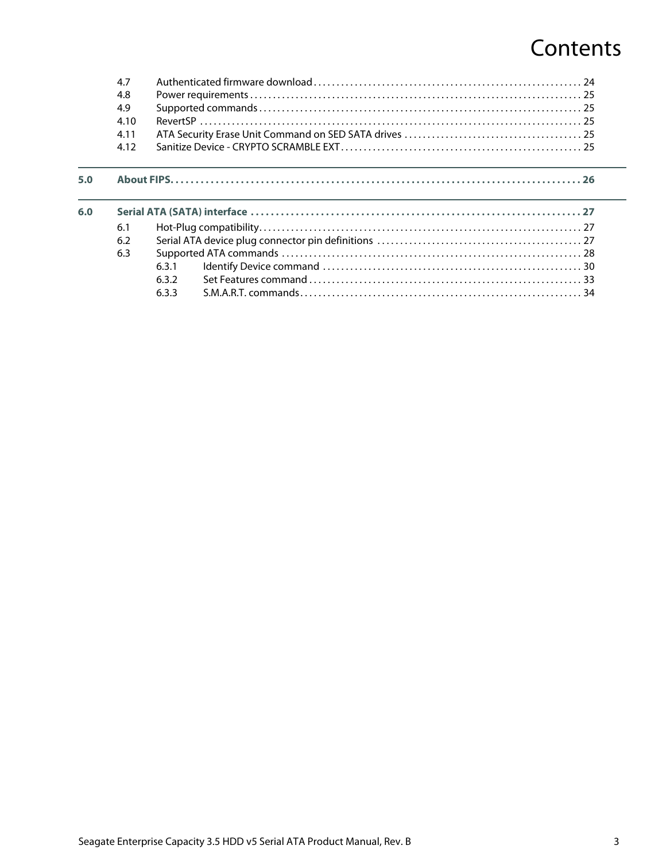# **Contents**

|     | 4.7  |       |  |
|-----|------|-------|--|
|     | 4.8  |       |  |
|     | 4.9  |       |  |
|     | 4.10 |       |  |
|     | 4.11 |       |  |
|     | 4.12 |       |  |
|     |      |       |  |
| 5.0 |      |       |  |
| 6.0 |      |       |  |
|     | 6.1  |       |  |
|     | 6.2  |       |  |
|     | 6.3  |       |  |
|     |      | 6.3.1 |  |
|     |      | 6.3.2 |  |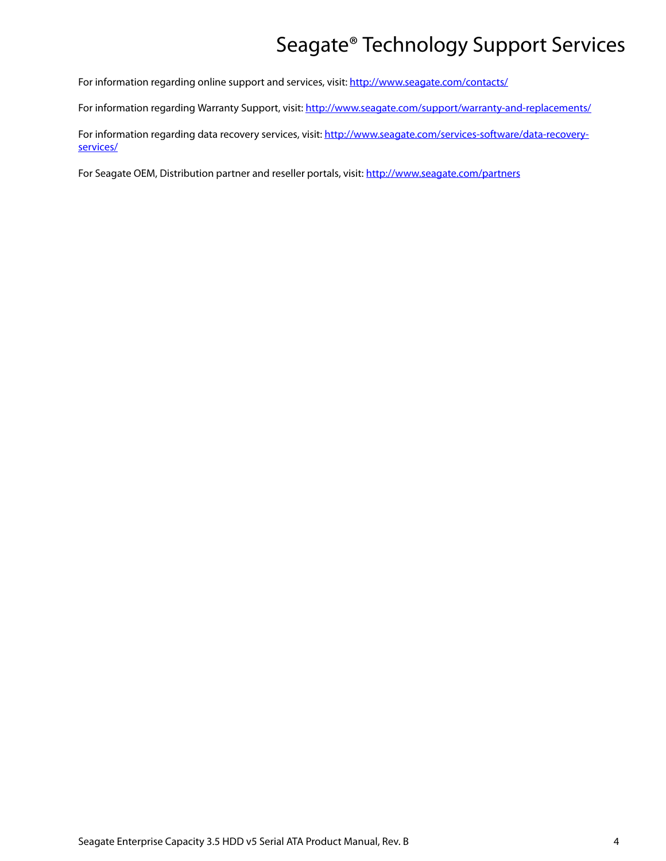# Seagate® Technology Support Services

<span id="page-4-0"></span>For information regarding online support and services, visit: [http://www.seagate.com/contacts/](http://www.seagate.com/about/contact-us/technical-support/)

For information regarding Warranty Support, visit:<http://www.seagate.com/support/warranty-and-replacements/>

For information regarding data recovery services, visit: [http://www.seagate.com/services-software/data-recovery](http://www.seagate.com/services-software/data-recovery-services/)[services/](http://www.seagate.com/services-software/data-recovery-services/)

For Seagate OEM, Distribution partner and reseller portals, visit: <http://www.seagate.com/partners>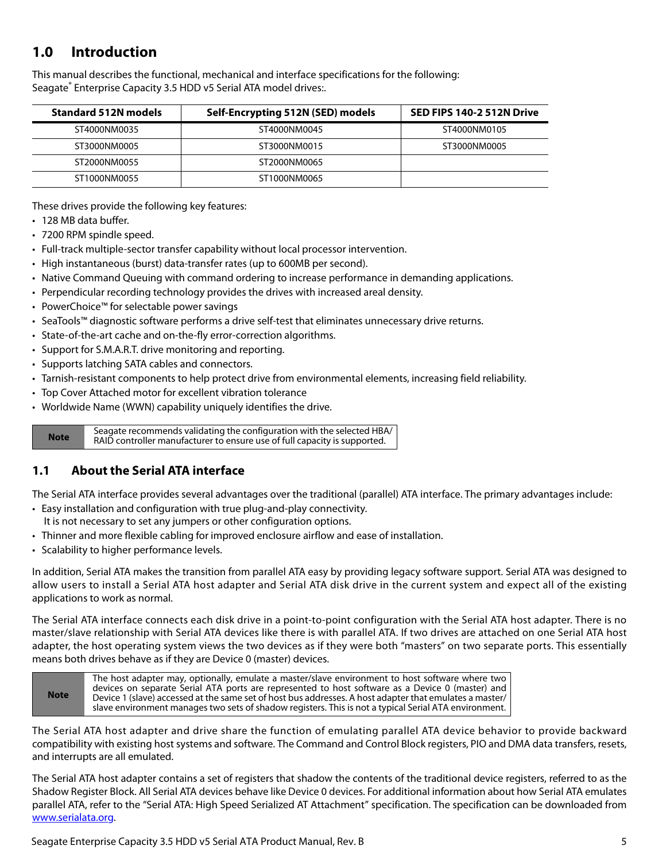## <span id="page-5-0"></span>**1.0 Introduction**

This manual describes the functional, mechanical and interface specifications for the following: Seagate® Enterprise Capacity 3.5 HDD v5 Serial ATA model drives:.

| <b>Standard 512N models</b> | Self-Encrypting 512N (SED) models | SED FIPS 140-2 512N Drive |  |
|-----------------------------|-----------------------------------|---------------------------|--|
| ST4000NM0035                | ST4000NM0045                      | ST4000NM0105              |  |
| ST3000NM0005                | ST3000NM0015                      | ST3000NM0005              |  |
| ST2000NM0055                | ST2000NM0065                      |                           |  |
| ST1000NM0055                | ST1000NM0065                      |                           |  |

These drives provide the following key features:

- 128 MB data buffer.
- 7200 RPM spindle speed.
- Full-track multiple-sector transfer capability without local processor intervention.
- High instantaneous (burst) data-transfer rates (up to 600MB per second).
- Native Command Queuing with command ordering to increase performance in demanding applications.
- Perpendicular recording technology provides the drives with increased areal density.
- PowerChoice™ for selectable power savings
- SeaTools™ diagnostic software performs a drive self-test that eliminates unnecessary drive returns.
- State-of-the-art cache and on-the-fly error-correction algorithms.
- Support for S.M.A.R.T. drive monitoring and reporting.
- Supports latching SATA cables and connectors.
- Tarnish-resistant components to help protect drive from environmental elements, increasing field reliability.
- Top Cover Attached motor for excellent vibration tolerance
- Worldwide Name (WWN) capability uniquely identifies the drive.

**Note** Seagate recommends validating the configuration with the selected HBA/ RAID controller manufacturer to ensure use of full capacity is supported.

## <span id="page-5-1"></span>**1.1 About the Serial ATA interface**

The Serial ATA interface provides several advantages over the traditional (parallel) ATA interface. The primary advantages include:

- Easy installation and configuration with true plug-and-play connectivity. It is not necessary to set any jumpers or other configuration options.
- Thinner and more flexible cabling for improved enclosure airflow and ease of installation.
- Scalability to higher performance levels.

In addition, Serial ATA makes the transition from parallel ATA easy by providing legacy software support. Serial ATA was designed to allow users to install a Serial ATA host adapter and Serial ATA disk drive in the current system and expect all of the existing applications to work as normal.

The Serial ATA interface connects each disk drive in a point-to-point configuration with the Serial ATA host adapter. There is no master/slave relationship with Serial ATA devices like there is with parallel ATA. If two drives are attached on one Serial ATA host adapter, the host operating system views the two devices as if they were both "masters" on two separate ports. This essentially means both drives behave as if they are Device 0 (master) devices.



The Serial ATA host adapter and drive share the function of emulating parallel ATA device behavior to provide backward compatibility with existing host systems and software. The Command and Control Block registers, PIO and DMA data transfers, resets, and interrupts are all emulated.

The Serial ATA host adapter contains a set of registers that shadow the contents of the traditional device registers, referred to as the Shadow Register Block. All Serial ATA devices behave like Device 0 devices. For additional information about how Serial ATA emulates parallel ATA, refer to the "Serial ATA: High Speed Serialized AT Attachment" specification. The specification can be downloaded from [www.serialata.or](http://www.serialata.org)g.

Seagate Enterprise Capacity 3.5 HDD v5 Serial ATA Product Manual, Rev. B 5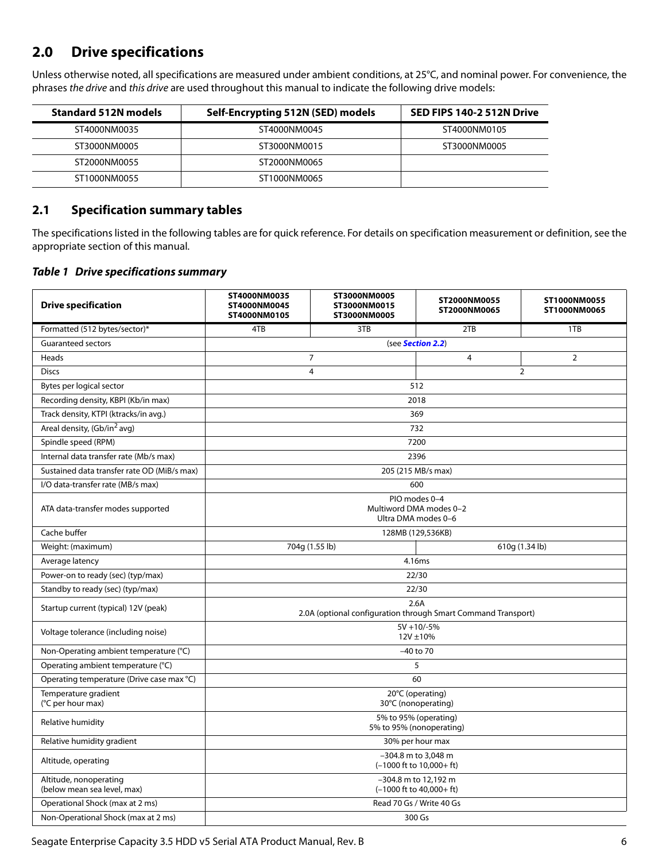## <span id="page-6-0"></span>**2.0 Drive specifications**

Unless otherwise noted, all specifications are measured under ambient conditions, at 25°C, and nominal power. For convenience, the phrases the drive and this drive are used throughout this manual to indicate the following drive models:

| <b>Standard 512N models</b> | Self-Encrypting 512N (SED) models | SED FIPS 140-2 512N Drive |
|-----------------------------|-----------------------------------|---------------------------|
| ST4000NM0035                | ST4000NM0045                      | ST4000NM0105              |
| ST3000NM0005                | ST3000NM0015                      | ST3000NM0005              |
| ST2000NM0055                | ST2000NM0065                      |                           |
| ST1000NM0055                | ST1000NM0065                      |                           |

## <span id="page-6-1"></span>**2.1 Specification summary tables**

The specifications listed in the following tables are for quick reference. For details on specification measurement or definition, see the appropriate section of this manual.

#### *Table 1 Drive specifications summary*

| <b>Drive specification</b>                            | ST4000NM0035<br>ST4000NM0045<br>ST4000NM0105                          | ST3000NM0005<br>ST3000NM0015<br>ST3000NM0005 | ST2000NM0055<br>ST2000NM0065                                    | ST1000NM0055<br>ST1000NM0065 |
|-------------------------------------------------------|-----------------------------------------------------------------------|----------------------------------------------|-----------------------------------------------------------------|------------------------------|
| Formatted (512 bytes/sector)*                         | 4TB                                                                   | 3TB                                          | 2TB                                                             | 1TB                          |
| <b>Guaranteed sectors</b>                             | (see Section 2.2)                                                     |                                              |                                                                 |                              |
| Heads                                                 |                                                                       | $\overline{7}$                               | 4                                                               | $\overline{2}$               |
| <b>Discs</b>                                          |                                                                       | $\overline{4}$                               |                                                                 | $\overline{2}$               |
| Bytes per logical sector                              |                                                                       |                                              | 512                                                             |                              |
| Recording density, KBPI (Kb/in max)                   |                                                                       |                                              | 2018                                                            |                              |
| Track density, KTPI (ktracks/in avg.)                 |                                                                       |                                              | 369                                                             |                              |
| Areal density, (Gb/in <sup>2</sup> avg)               |                                                                       |                                              | 732                                                             |                              |
| Spindle speed (RPM)                                   |                                                                       |                                              | 7200                                                            |                              |
| Internal data transfer rate (Mb/s max)                |                                                                       |                                              | 2396                                                            |                              |
| Sustained data transfer rate OD (MiB/s max)           |                                                                       |                                              | 205 (215 MB/s max)                                              |                              |
| I/O data-transfer rate (MB/s max)                     |                                                                       |                                              | 600                                                             |                              |
| ATA data-transfer modes supported                     |                                                                       |                                              | PIO modes 0-4<br>Multiword DMA modes 0-2<br>Ultra DMA modes 0-6 |                              |
| Cache buffer                                          |                                                                       |                                              | 128MB (129,536KB)                                               |                              |
| Weight: (maximum)                                     |                                                                       | 704g (1.55 lb)                               |                                                                 | 610g (1.34 lb)               |
| Average latency                                       |                                                                       |                                              | 4.16ms                                                          |                              |
| Power-on to ready (sec) (typ/max)                     |                                                                       |                                              | 22/30                                                           |                              |
| Standby to ready (sec) (typ/max)                      |                                                                       |                                              | 22/30                                                           |                              |
| Startup current (typical) 12V (peak)                  | 2.6A<br>2.0A (optional configuration through Smart Command Transport) |                                              |                                                                 |                              |
| Voltage tolerance (including noise)                   | $5V + 10/-5%$<br>12V ±10%                                             |                                              |                                                                 |                              |
| Non-Operating ambient temperature (°C)                |                                                                       |                                              | $-40$ to 70                                                     |                              |
| Operating ambient temperature (°C)                    | 5                                                                     |                                              |                                                                 |                              |
| Operating temperature (Drive case max °C)             |                                                                       |                                              | 60                                                              |                              |
| Temperature gradient<br>(°C per hour max)             | 20°C (operating)<br>30°C (nonoperating)                               |                                              |                                                                 |                              |
| Relative humidity                                     | 5% to 95% (operating)<br>5% to 95% (nonoperating)                     |                                              |                                                                 |                              |
| Relative humidity gradient                            | 30% per hour max                                                      |                                              |                                                                 |                              |
| Altitude, operating                                   | -304.8 m to 3,048 m<br>$(-1000$ ft to $10,000+$ ft)                   |                                              |                                                                 |                              |
| Altitude, nonoperating<br>(below mean sea level, max) |                                                                       |                                              | -304.8 m to 12,192 m<br>$(-1000$ ft to $40,000+$ ft)            |                              |
| Operational Shock (max at 2 ms)                       |                                                                       |                                              | Read 70 Gs / Write 40 Gs                                        |                              |
| Non-Operational Shock (max at 2 ms)                   |                                                                       |                                              | 300 Gs                                                          |                              |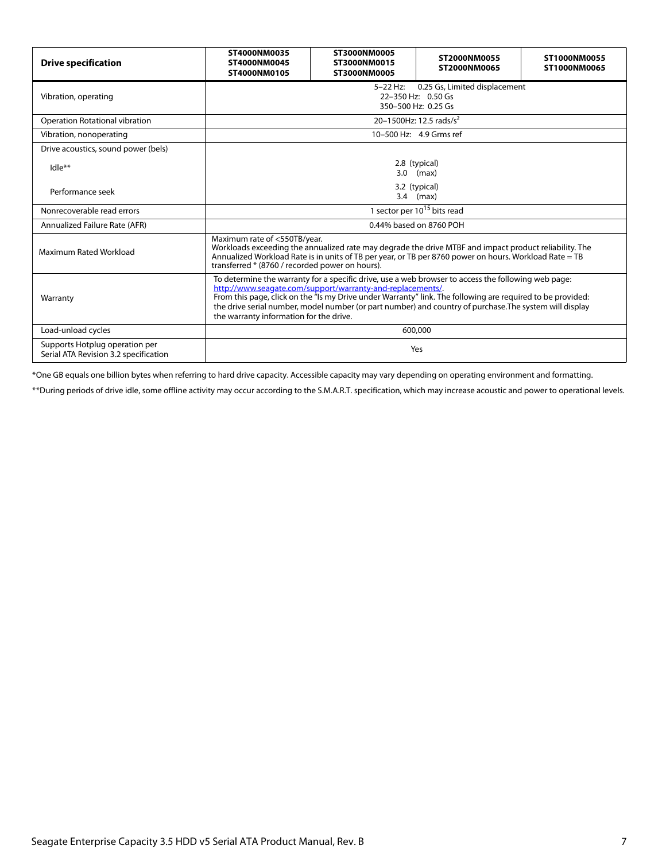| <b>Drive specification</b>                                              | ST4000NM0035<br>ST4000NM0045<br>ST4000NM0105                                                                                                                                                                                                                                                                                                                                                                                          | ST3000NM0005<br>ST3000NM0015<br>ST3000NM0005 | ST2000NM0055<br>ST2000NM0065        | ST1000NM0055<br>ST1000NM0065 |
|-------------------------------------------------------------------------|---------------------------------------------------------------------------------------------------------------------------------------------------------------------------------------------------------------------------------------------------------------------------------------------------------------------------------------------------------------------------------------------------------------------------------------|----------------------------------------------|-------------------------------------|------------------------------|
| Vibration, operating                                                    | 0.25 Gs, Limited displacement<br>5-22 Hz:<br>22-350 Hz: 0.50 Gs<br>350-500 Hz: 0.25 Gs                                                                                                                                                                                                                                                                                                                                                |                                              |                                     |                              |
| <b>Operation Rotational vibration</b>                                   |                                                                                                                                                                                                                                                                                                                                                                                                                                       |                                              | 20-1500Hz: 12.5 rads/s <sup>2</sup> |                              |
| Vibration, nonoperating                                                 |                                                                                                                                                                                                                                                                                                                                                                                                                                       |                                              | 10-500 Hz: 4.9 Grms ref             |                              |
| Drive acoustics, sound power (bels)                                     |                                                                                                                                                                                                                                                                                                                                                                                                                                       |                                              |                                     |                              |
| $Idle**$                                                                |                                                                                                                                                                                                                                                                                                                                                                                                                                       |                                              | 2.8 (typical)<br>$3.0$ (max)        |                              |
| Performance seek                                                        | 3.2 (typical)<br>$3.4$ (max)                                                                                                                                                                                                                                                                                                                                                                                                          |                                              |                                     |                              |
| Nonrecoverable read errors                                              | 1 sector per 10 <sup>15</sup> bits read                                                                                                                                                                                                                                                                                                                                                                                               |                                              |                                     |                              |
| Annualized Failure Rate (AFR)                                           | 0.44% based on 8760 POH                                                                                                                                                                                                                                                                                                                                                                                                               |                                              |                                     |                              |
| Maximum Rated Workload                                                  | Maximum rate of <550TB/year.<br>Workloads exceeding the annualized rate may degrade the drive MTBF and impact product reliability. The<br>Annualized Workload Rate is in units of TB per year, or TB per 8760 power on hours. Workload Rate = TB<br>transferred * (8760 / recorded power on hours).                                                                                                                                   |                                              |                                     |                              |
| Warranty                                                                | To determine the warranty for a specific drive, use a web browser to access the following web page:<br>http://www.seagate.com/support/warranty-and-replacements/.<br>From this page, click on the "Is my Drive under Warranty" link. The following are required to be provided:<br>the drive serial number, model number (or part number) and country of purchase. The system will display<br>the warranty information for the drive. |                                              |                                     |                              |
| Load-unload cycles                                                      |                                                                                                                                                                                                                                                                                                                                                                                                                                       |                                              | 600,000                             |                              |
| Supports Hotplug operation per<br>Serial ATA Revision 3.2 specification | Yes                                                                                                                                                                                                                                                                                                                                                                                                                                   |                                              |                                     |                              |

\*One GB equals one billion bytes when referring to hard drive capacity. Accessible capacity may vary depending on operating environment and formatting.

\*\*During periods of drive idle, some offline activity may occur according to the S.M.A.R.T. specification, which may increase acoustic and power to operational levels.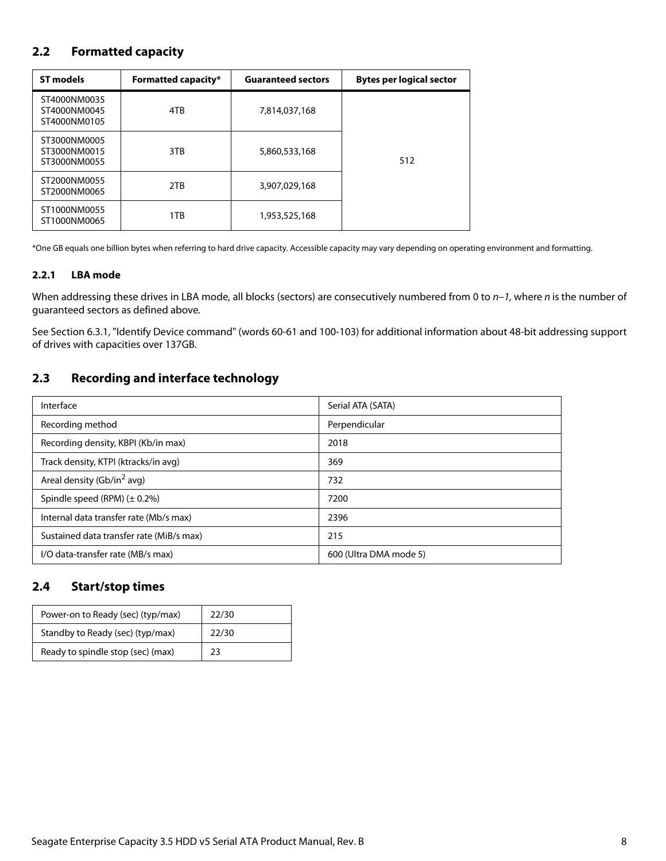## <span id="page-8-0"></span>**2.2 Formatted capacity**

| <b>ST models</b><br><b>Formatted capacity*</b> |     | <b>Guaranteed sectors</b> | <b>Bytes per logical sector</b> |
|------------------------------------------------|-----|---------------------------|---------------------------------|
| ST4000NM0035<br>ST4000NM0045<br>ST4000NM0105   | 4TB | 7,814,037,168             |                                 |
| ST3000NM0005<br>ST3000NM0015<br>ST3000NM0055   | 3TB | 5,860,533,168             | 512                             |
| ST2000NM0055<br>ST2000NM0065                   | 2TB | 3,907,029,168             |                                 |
| ST1000NM0055<br>ST1000NM0065                   | 1TB | 1,953,525,168             |                                 |

\*One GB equals one billion bytes when referring to hard drive capacity. Accessible capacity may vary depending on operating environment and formatting.

#### <span id="page-8-1"></span>**2.2.1 LBA mode**

When addressing these drives in LBA mode, all blocks (sectors) are consecutively numbered from 0 to  $n-1$ , where n is the number of guaranteed sectors as defined above.

See [Section 6.3.1, "Identify Device command"](#page-30-0) (words 60-61 and 100-103) for additional information about 48-bit addressing support of drives with capacities over 137GB.

## <span id="page-8-2"></span>**2.3 Recording and interface technology**

| Interface                                | Serial ATA (SATA)      |
|------------------------------------------|------------------------|
| Recording method                         | Perpendicular          |
| Recording density, KBPI (Kb/in max)      | 2018                   |
| Track density, KTPI (ktracks/in avg)     | 369                    |
| Areal density (Gb/in <sup>2</sup> avg)   | 732                    |
| Spindle speed (RPM) $(\pm 0.2\%)$        | 7200                   |
| Internal data transfer rate (Mb/s max)   | 2396                   |
| Sustained data transfer rate (MiB/s max) | 215                    |
| I/O data-transfer rate (MB/s max)        | 600 (Ultra DMA mode 5) |

## <span id="page-8-3"></span>**2.4 Start/stop times**

| Power-on to Ready (sec) (typ/max) | 22/30 |
|-----------------------------------|-------|
| Standby to Ready (sec) (typ/max)  | 22/30 |
| Ready to spindle stop (sec) (max) | 23    |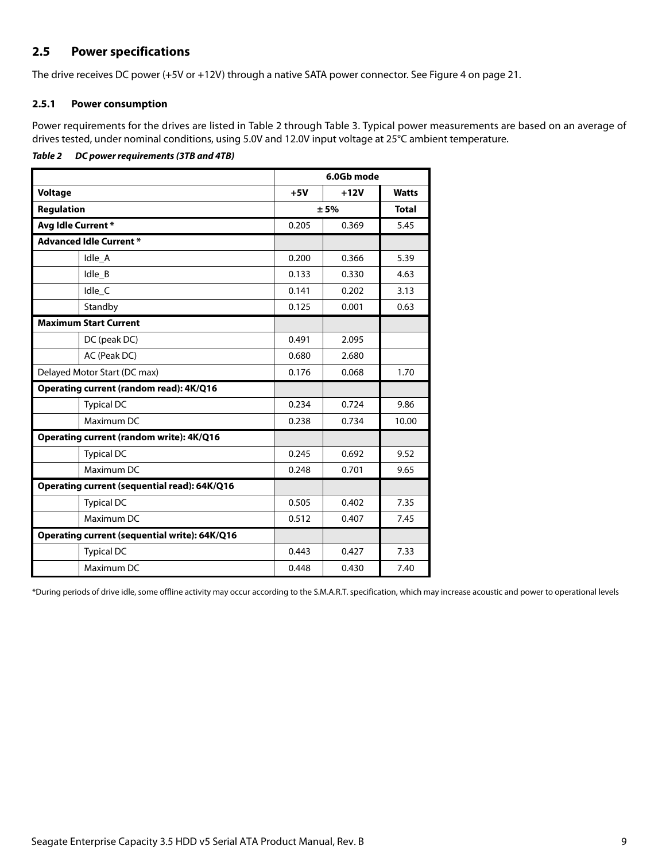## <span id="page-9-0"></span>**2.5 Power specifications**

The drive receives DC power (+5V or +12V) through a native SATA power connector. See Figure [4](#page-21-5) on [page 21](#page-21-5).

#### <span id="page-9-1"></span>**2.5.1 Power consumption**

Power requirements for the drives are listed in Table 2 through Table 3. Typical power measurements are based on an average of drives tested, under nominal conditions, using 5.0V and 12.0V input voltage at 25°C ambient temperature.

#### *Table 2 DC power requirements (3TB and 4TB)*

|                                               | 6.0Gb mode     |        |              |
|-----------------------------------------------|----------------|--------|--------------|
| <b>Voltage</b>                                | $+5V$          | $+12V$ | <b>Watts</b> |
| <b>Regulation</b>                             |                | ± 5%   | <b>Total</b> |
| Avg Idle Current*                             | 0.205          | 0.369  | 5.45         |
| <b>Advanced Idle Current *</b>                |                |        |              |
| Idle_A                                        | 0.200          | 0.366  | 5.39         |
| Idle B                                        | 0.133          | 0.330  | 4.63         |
| Idle C                                        | 0.141          | 0.202  | 3.13         |
| Standby                                       | 0.125          | 0.001  | 0.63         |
| <b>Maximum Start Current</b>                  |                |        |              |
| DC (peak DC)                                  | 0.491          | 2.095  |              |
| AC (Peak DC)                                  | 0.680          | 2.680  |              |
| Delayed Motor Start (DC max)                  | 0.176<br>0.068 |        | 1.70         |
| Operating current (random read): 4K/Q16       |                |        |              |
| <b>Typical DC</b>                             | 0.234          | 0.724  | 9.86         |
| Maximum DC                                    | 0.238          | 0.734  | 10.00        |
| Operating current (random write): 4K/Q16      |                |        |              |
| <b>Typical DC</b>                             | 0.245          | 0.692  | 9.52         |
| Maximum DC                                    | 0.248          | 0.701  | 9.65         |
| Operating current (sequential read): 64K/Q16  |                |        |              |
| <b>Typical DC</b>                             | 0.505          | 0.402  | 7.35         |
| Maximum DC                                    | 0.512          | 0.407  | 7.45         |
| Operating current (sequential write): 64K/Q16 |                |        |              |
| <b>Typical DC</b>                             | 0.443          | 0.427  | 7.33         |
| Maximum DC                                    | 0.448          | 0.430  | 7.40         |

\*During periods of drive idle, some offline activity may occur according to the S.M.A.R.T. specification, which may increase acoustic and power to operational levels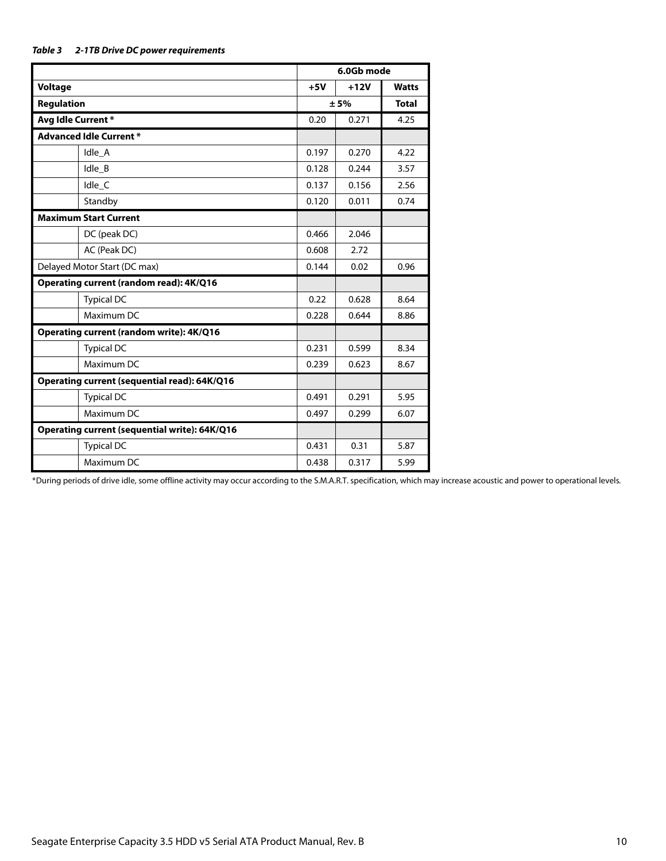| Table 3 | 2-1TB Drive DC power requirements |
|---------|-----------------------------------|
|---------|-----------------------------------|

|                                               |       | 6.0Gb mode |              |
|-----------------------------------------------|-------|------------|--------------|
| <b>Voltage</b>                                | $+5V$ | $+12V$     | <b>Watts</b> |
| <b>Regulation</b>                             | ± 5%  |            | <b>Total</b> |
| Avg Idle Current*                             | 0.20  | 0.271      | 4.25         |
| <b>Advanced Idle Current *</b>                |       |            |              |
| Idle_A                                        | 0.197 | 0.270      | 4.22         |
| Idle_B                                        | 0.128 | 0.244      | 3.57         |
| Idle_C                                        | 0.137 | 0.156      | 2.56         |
| Standby                                       | 0.120 | 0.011      | 0.74         |
| <b>Maximum Start Current</b>                  |       |            |              |
| DC (peak DC)                                  | 0.466 | 2.046      |              |
| AC (Peak DC)                                  | 0.608 | 2.72       |              |
| Delayed Motor Start (DC max)                  |       | 0.02       | 0.96         |
| Operating current (random read): 4K/Q16       |       |            |              |
| <b>Typical DC</b>                             | 0.22  | 0.628      | 8.64         |
| Maximum DC                                    | 0.228 | 0.644      | 8.86         |
| Operating current (random write): 4K/Q16      |       |            |              |
| <b>Typical DC</b>                             | 0.231 | 0.599      | 8.34         |
| Maximum DC                                    | 0.239 | 0.623      | 8.67         |
| Operating current (sequential read): 64K/Q16  |       |            |              |
| <b>Typical DC</b>                             | 0.491 | 0.291      | 5.95         |
| Maximum DC                                    | 0.497 | 0.299      | 6.07         |
| Operating current (sequential write): 64K/Q16 |       |            |              |
| <b>Typical DC</b>                             | 0.431 | 0.31       | 5.87         |
| Maximum DC                                    | 0.438 | 0.317      | 5.99         |

\*During periods of drive idle, some offline activity may occur according to the S.M.A.R.T. specification, which may increase acoustic and power to operational levels.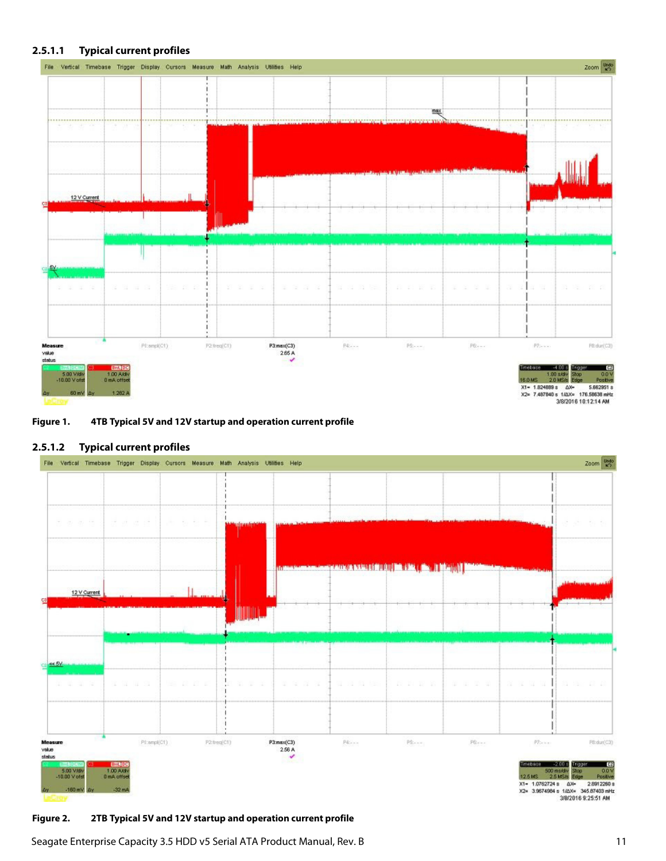#### **2.5.1.1 Typical current profiles**



#### **Figure 1. 4TB Typical 5V and 12V startup and operation current profile**

#### **2.5.1.2 Typical current profiles**



#### **Figure 2. 2TB Typical 5V and 12V startup and operation current profile**

Seagate Enterprise Capacity 3.5 HDD v5 Serial ATA Product Manual, Rev. B 11 11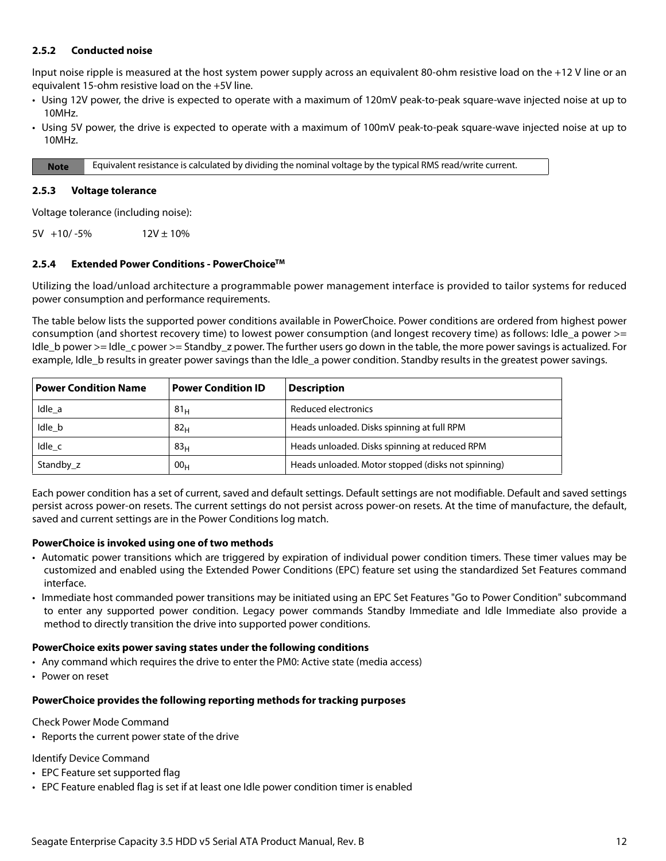#### <span id="page-12-0"></span>**2.5.2 Conducted noise**

Input noise ripple is measured at the host system power supply across an equivalent 80-ohm resistive load on the +12 V line or an equivalent 15-ohm resistive load on the +5V line.

- Using 12V power, the drive is expected to operate with a maximum of 120mV peak-to-peak square-wave injected noise at up to 10MHz.
- Using 5V power, the drive is expected to operate with a maximum of 100mV peak-to-peak square-wave injected noise at up to 10MHz.

**Note** Equivalent resistance is calculated by dividing the nominal voltage by the typical RMS read/write current.

#### <span id="page-12-1"></span>**2.5.3 Voltage tolerance**

Voltage tolerance (including noise):

 $5V +10/-5%$  12V ± 10%

#### <span id="page-12-2"></span>**2.5.4 Extended Power Conditions - PowerChoiceTM**

Utilizing the load/unload architecture a programmable power management interface is provided to tailor systems for reduced power consumption and performance requirements.

The table below lists the supported power conditions available in PowerChoice. Power conditions are ordered from highest power consumption (and shortest recovery time) to lowest power consumption (and longest recovery time) as follows: Idle\_a power >= Idle b power >= Idle c power >= Standby z power. The further users go down in the table, the more power savings is actualized. For example, Idle b results in greater power savings than the Idle a power condition. Standby results in the greatest power savings.

| <b>Power Condition Name</b> | <b>Power Condition ID</b> | <b>Description</b>                                 |
|-----------------------------|---------------------------|----------------------------------------------------|
| Idle a                      | 81 <sub>H</sub>           | Reduced electronics                                |
| Idle b                      | 82 <sub>H</sub>           | Heads unloaded. Disks spinning at full RPM         |
| Idle c                      | 83 <sub>H</sub>           | Heads unloaded. Disks spinning at reduced RPM      |
| Standby z                   | 00 <sub>H</sub>           | Heads unloaded. Motor stopped (disks not spinning) |

Each power condition has a set of current, saved and default settings. Default settings are not modifiable. Default and saved settings persist across power-on resets. The current settings do not persist across power-on resets. At the time of manufacture, the default, saved and current settings are in the Power Conditions log match.

#### **PowerChoice is invoked using one of two methods**

- Automatic power transitions which are triggered by expiration of individual power condition timers. These timer values may be customized and enabled using the Extended Power Conditions (EPC) feature set using the standardized Set Features command interface.
- Immediate host commanded power transitions may be initiated using an EPC Set Features "Go to Power Condition" subcommand to enter any supported power condition. Legacy power commands Standby Immediate and Idle Immediate also provide a method to directly transition the drive into supported power conditions.

#### **PowerChoice exits power saving states under the following conditions**

- Any command which requires the drive to enter the PM0: Active state (media access)
- Power on reset

#### **PowerChoice provides the following reporting methods for tracking purposes**

Check Power Mode Command

• Reports the current power state of the drive

Identify Device Command

- EPC Feature set supported flag
- EPC Feature enabled flag is set if at least one Idle power condition timer is enabled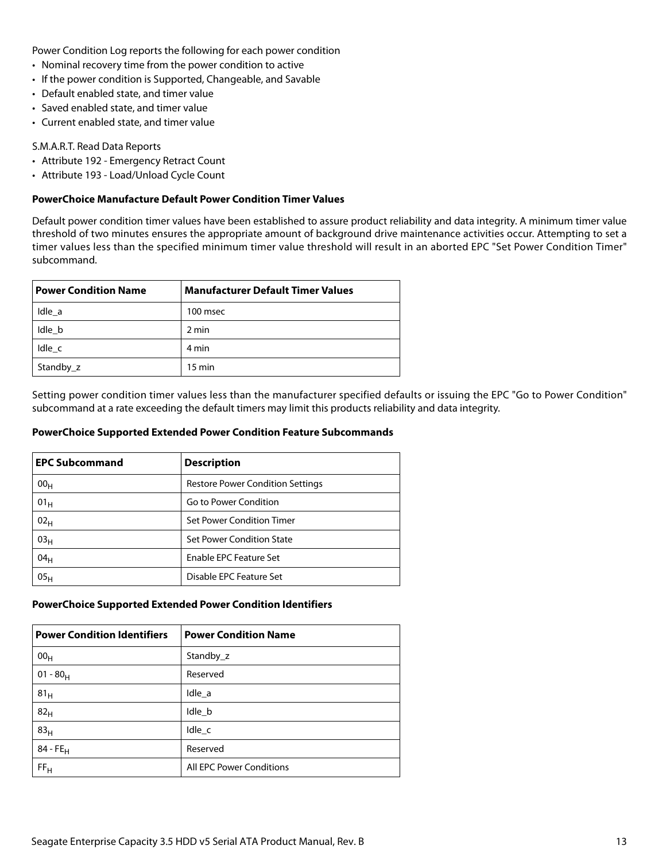Power Condition Log reports the following for each power condition

- Nominal recovery time from the power condition to active
- If the power condition is Supported, Changeable, and Savable
- Default enabled state, and timer value
- Saved enabled state, and timer value
- Current enabled state, and timer value

#### S.M.A.R.T. Read Data Reports

- Attribute 192 Emergency Retract Count
- Attribute 193 Load/Unload Cycle Count

#### **PowerChoice Manufacture Default Power Condition Timer Values**

Default power condition timer values have been established to assure product reliability and data integrity. A minimum timer value threshold of two minutes ensures the appropriate amount of background drive maintenance activities occur. Attempting to set a timer values less than the specified minimum timer value threshold will result in an aborted EPC "Set Power Condition Timer" subcommand.

| <b>Power Condition Name</b> | <b>Manufacturer Default Timer Values</b> |
|-----------------------------|------------------------------------------|
| Idle a                      | 100 msec                                 |
| Idle b                      | 2 min                                    |
| Idle c                      | 4 min                                    |
| Standby_z                   | $15 \text{ min}$                         |

Setting power condition timer values less than the manufacturer specified defaults or issuing the EPC "Go to Power Condition" subcommand at a rate exceeding the default timers may limit this products reliability and data integrity.

#### **PowerChoice Supported Extended Power Condition Feature Subcommands**

| <b>EPC Subcommand</b> | <b>Description</b>                      |
|-----------------------|-----------------------------------------|
| 00 <sub>H</sub>       | <b>Restore Power Condition Settings</b> |
| 01 <sub>H</sub>       | Go to Power Condition                   |
| 02 <sub>H</sub>       | Set Power Condition Timer               |
| 03 <sub>H</sub>       | Set Power Condition State               |
| 04 <sub>H</sub>       | <b>Enable EPC Feature Set</b>           |
| 05 <sub>H</sub>       | Disable EPC Feature Set                 |

#### **PowerChoice Supported Extended Power Condition Identifiers**

| <b>Power Condition Identifiers</b> | <b>Power Condition Name</b>     |
|------------------------------------|---------------------------------|
| 00 <sub>H</sub>                    | Standby_z                       |
| $01 - 80_H$                        | Reserved                        |
| 81 <sub>H</sub>                    | Idle a                          |
| 82 <sub>H</sub>                    | Idle_b                          |
| 83 <sub>H</sub>                    | Idle_c                          |
| $84 - FE_H$                        | Reserved                        |
| FF <sub>H</sub>                    | <b>All EPC Power Conditions</b> |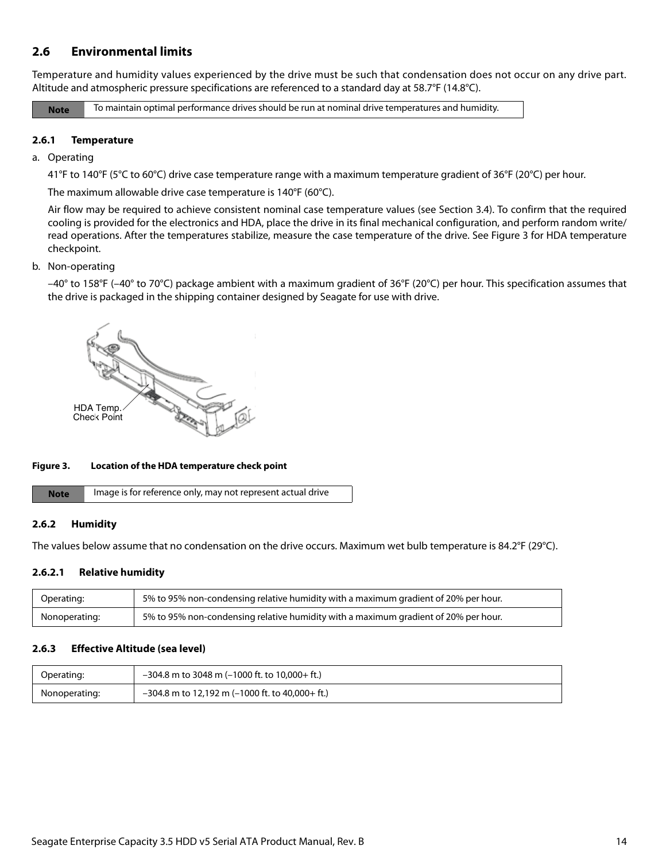## <span id="page-14-0"></span>**2.6 Environmental limits**

Temperature and humidity values experienced by the drive must be such that condensation does not occur on any drive part. Altitude and atmospheric pressure specifications are referenced to a standard day at 58.7°F (14.8°C).

**Note** To maintain optimal performance drives should be run at nominal drive temperatures and humidity.

#### <span id="page-14-1"></span>**2.6.1 Temperature**

#### a. Operating

41°F to 140°F (5°C to 60°C) drive case temperature range with a maximum temperature gradient of 36°F (20°C) per hour.

The maximum allowable drive case temperature is 140°F (60°C).

Air flow may be required to achieve consistent nominal case temperature values (see Section [3.4\)](#page-21-4). To confirm that the required cooling is provided for the electronics and HDA, place the drive in its final mechanical configuration, and perform random write/ read operations. After the temperatures stabilize, measure the case temperature of the drive. See Figure [3](#page-14-4) for HDA temperature checkpoint.

#### b. Non-operating

–40° to 158°F (–40° to 70°C) package ambient with a maximum gradient of 36°F (20°C) per hour. This specification assumes that the drive is packaged in the shipping container designed by Seagate for use with drive.



#### <span id="page-14-4"></span>**Figure 3. Location of the HDA temperature check point**

| <b>Note</b> | Image is for reference only, may not represent actual drive |
|-------------|-------------------------------------------------------------|
|-------------|-------------------------------------------------------------|

#### <span id="page-14-2"></span>**2.6.2 Humidity**

The values below assume that no condensation on the drive occurs. Maximum wet bulb temperature is 84.2°F (29°C).

#### **2.6.2.1 Relative humidity**

| Operating:    | 5% to 95% non-condensing relative humidity with a maximum gradient of 20% per hour. |
|---------------|-------------------------------------------------------------------------------------|
| Nonoperating: | 5% to 95% non-condensing relative humidity with a maximum gradient of 20% per hour. |

#### <span id="page-14-3"></span>**2.6.3 Effective Altitude (sea level)**

| Operating:    | $-304.8$ m to 3048 m (-1000 ft. to 10,000+ ft.)   |
|---------------|---------------------------------------------------|
| Nonoperating: | $-304.8$ m to 12,192 m (-1000 ft. to 40,000+ ft.) |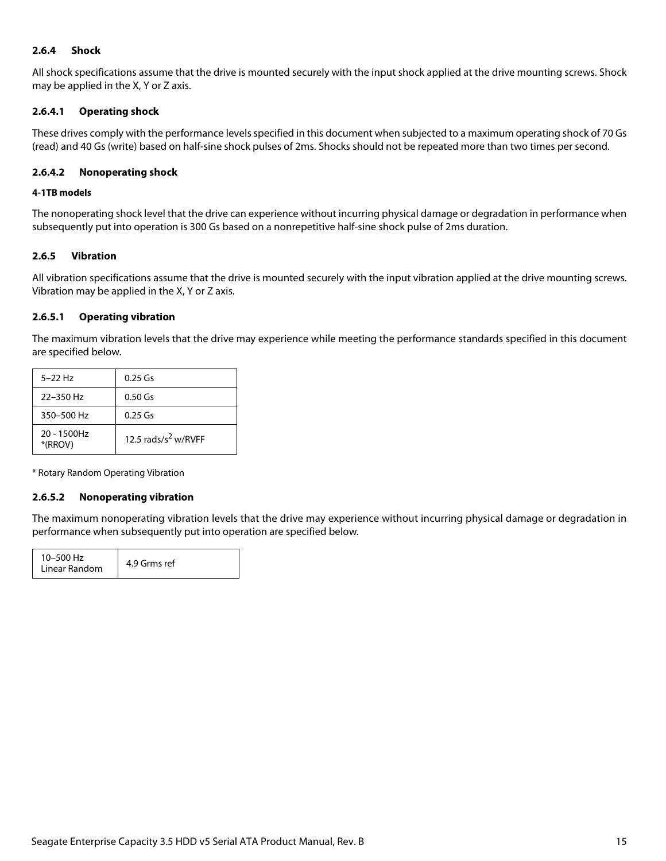#### <span id="page-15-0"></span>**2.6.4 Shock**

All shock specifications assume that the drive is mounted securely with the input shock applied at the drive mounting screws. Shock may be applied in the X, Y or Z axis.

#### **2.6.4.1 Operating shock**

These drives comply with the performance levels specified in this document when subjected to a maximum operating shock of 70 Gs (read) and 40 Gs (write) based on half-sine shock pulses of 2ms. Shocks should not be repeated more than two times per second.

#### **2.6.4.2 Nonoperating shock**

#### **4-1TB models**

The nonoperating shock level that the drive can experience without incurring physical damage or degradation in performance when subsequently put into operation is 300 Gs based on a nonrepetitive half-sine shock pulse of 2ms duration.

#### <span id="page-15-1"></span>**2.6.5 Vibration**

All vibration specifications assume that the drive is mounted securely with the input vibration applied at the drive mounting screws. Vibration may be applied in the X, Y or Z axis.

#### **2.6.5.1 Operating vibration**

The maximum vibration levels that the drive may experience while meeting the performance standards specified in this document are specified below.

| $5 - 22$ Hz               | $0.25$ Gs                       |
|---------------------------|---------------------------------|
| 22-350 Hz                 | $0.50$ Gs                       |
| 350-500 Hz                | $0.25$ Gs                       |
| $20 - 1500$ Hz<br>*(RROV) | 12.5 rads/s <sup>2</sup> w/RVFF |

\* Rotary Random Operating Vibration

#### **2.6.5.2 Nonoperating vibration**

The maximum nonoperating vibration levels that the drive may experience without incurring physical damage or degradation in performance when subsequently put into operation are specified below.

| 10-500 Hz<br>Linear Random | 4.9 Grms ref |
|----------------------------|--------------|
|----------------------------|--------------|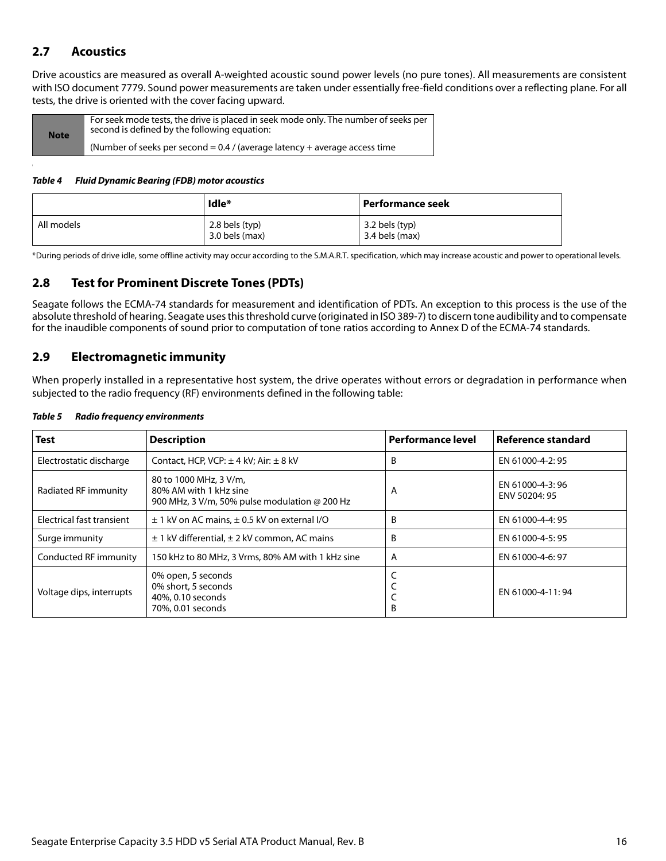## <span id="page-16-0"></span>**2.7 Acoustics**

Drive acoustics are measured as overall A-weighted acoustic sound power levels (no pure tones). All measurements are consistent with ISO document 7779. Sound power measurements are taken under essentially free-field conditions over a reflecting plane. For all tests, the drive is oriented with the cover facing upward.

| <b>Note</b> | For seek mode tests, the drive is placed in seek mode only. The number of seeks per<br>second is defined by the following equation: |
|-------------|-------------------------------------------------------------------------------------------------------------------------------------|
|             | (Number of seeks per second = $0.4$ / (average latency + average access time                                                        |

#### *Table 4 Fluid Dynamic Bearing (FDB) motor acoustics*

|            | Idle*                                | Performance seek                 |
|------------|--------------------------------------|----------------------------------|
| All models | $2.8$ bels (typ)<br>$3.0$ bels (max) | 3.2 bels (typ)<br>3.4 bels (max) |

\*During periods of drive idle, some offline activity may occur according to the S.M.A.R.T. specification, which may increase acoustic and power to operational levels.

## <span id="page-16-1"></span>**2.8 Test for Prominent Discrete Tones (PDTs)**

Seagate follows the ECMA-74 standards for measurement and identification of PDTs. An exception to this process is the use of the absolute threshold of hearing. Seagate uses this threshold curve (originated in ISO 389-7) to discern tone audibility and to compensate for the inaudible components of sound prior to computation of tone ratios according to Annex D of the ECMA-74 standards.

## <span id="page-16-2"></span>**2.9 Electromagnetic immunity**

When properly installed in a representative host system, the drive operates without errors or degradation in performance when subjected to the radio frequency (RF) environments defined in the following table:

| <b>Test</b>               | <b>Description</b>                                                                                       | <b>Performance level</b> | Reference standard               |
|---------------------------|----------------------------------------------------------------------------------------------------------|--------------------------|----------------------------------|
| Electrostatic discharge   | Contact, HCP, VCP: $\pm$ 4 kV; Air: $\pm$ 8 kV                                                           | B                        | EN 61000-4-2: 95                 |
| Radiated RF immunity      | 80 to 1000 MHz, 3 V/m,<br>80% AM with 1 kHz sine<br>900 MHz, 3 V/m, 50% pulse modulation $\omega$ 200 Hz | A                        | EN 61000-4-3:96<br>ENV 50204: 95 |
| Electrical fast transient | $\pm$ 1 kV on AC mains, $\pm$ 0.5 kV on external I/O                                                     | B                        | EN 61000-4-4: 95                 |
| Surge immunity            | $\pm$ 1 kV differential, $\pm$ 2 kV common, AC mains                                                     | B                        | EN 61000-4-5: 95                 |
| Conducted RF immunity     | 150 kHz to 80 MHz, 3 Vrms, 80% AM with 1 kHz sine                                                        | A                        | EN 61000-4-6: 97                 |
| Voltage dips, interrupts  | 0% open, 5 seconds<br>0% short, 5 seconds<br>40%, 0.10 seconds<br>70%, 0.01 seconds                      | B                        | EN 61000-4-11:94                 |

#### *Table 5 Radio frequency environments*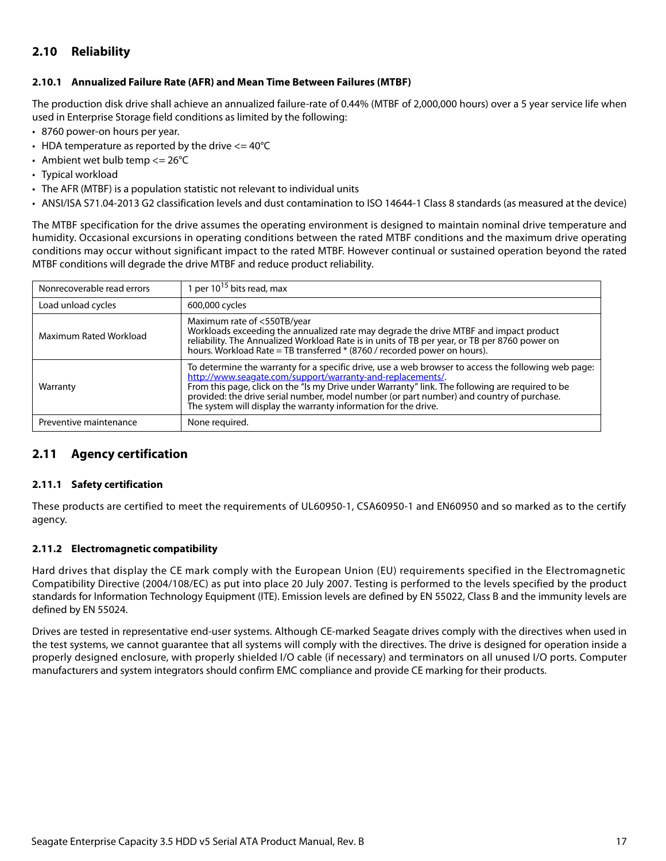## <span id="page-17-0"></span>**2.10 Reliability**

#### <span id="page-17-1"></span>**2.10.1 Annualized Failure Rate (AFR) and Mean Time Between Failures (MTBF)**

The production disk drive shall achieve an annualized failure-rate of 0.44% (MTBF of 2,000,000 hours) over a 5 year service life when used in Enterprise Storage field conditions as limited by the following:

- 8760 power-on hours per year.
- HDA temperature as reported by the drive  $\epsilon$  = 40°C
- Ambient wet bulb temp  $\leq$  26°C
- Typical workload
- The AFR (MTBF) is a population statistic not relevant to individual units
- ANSI/ISA S71.04-2013 G2 classification levels and dust contamination to ISO 14644-1 Class 8 standards (as measured at the device)

The MTBF specification for the drive assumes the operating environment is designed to maintain nominal drive temperature and humidity. Occasional excursions in operating conditions between the rated MTBF conditions and the maximum drive operating conditions may occur without significant impact to the rated MTBF. However continual or sustained operation beyond the rated MTBF conditions will degrade the drive MTBF and reduce product reliability.

| Nonrecoverable read errors | 1 per $10^{15}$ bits read, max                                                                                                                                                                                                                                                                                                                                                                                                       |
|----------------------------|--------------------------------------------------------------------------------------------------------------------------------------------------------------------------------------------------------------------------------------------------------------------------------------------------------------------------------------------------------------------------------------------------------------------------------------|
| Load unload cycles         | 600,000 cycles                                                                                                                                                                                                                                                                                                                                                                                                                       |
| Maximum Rated Workload     | Maximum rate of <550TB/year<br>Workloads exceeding the annualized rate may degrade the drive MTBF and impact product<br>reliability. The Annualized Workload Rate is in units of TB per year, or TB per 8760 power on<br>hours. Workload Rate = TB transferred * (8760 / recorded power on hours).                                                                                                                                   |
| Warranty                   | To determine the warranty for a specific drive, use a web browser to access the following web page:<br>http://www.seagate.com/support/warranty-and-replacements/<br>From this page, click on the "Is my Drive under Warranty" link. The following are required to be<br>provided: the drive serial number, model number (or part number) and country of purchase.<br>The system will display the warranty information for the drive. |
| Preventive maintenance     | None required.                                                                                                                                                                                                                                                                                                                                                                                                                       |

## <span id="page-17-2"></span>**2.11 Agency certification**

#### <span id="page-17-3"></span>**2.11.1 Safety certification**

These products are certified to meet the requirements of UL60950-1, CSA60950-1 and EN60950 and so marked as to the certify agency.

#### <span id="page-17-4"></span>**2.11.2 Electromagnetic compatibility**

Hard drives that display the CE mark comply with the European Union (EU) requirements specified in the Electromagnetic Compatibility Directive (2004/108/EC) as put into place 20 July 2007. Testing is performed to the levels specified by the product standards for Information Technology Equipment (ITE). Emission levels are defined by EN 55022, Class B and the immunity levels are defined by EN 55024.

Drives are tested in representative end-user systems. Although CE-marked Seagate drives comply with the directives when used in the test systems, we cannot guarantee that all systems will comply with the directives. The drive is designed for operation inside a properly designed enclosure, with properly shielded I/O cable (if necessary) and terminators on all unused I/O ports. Computer manufacturers and system integrators should confirm EMC compliance and provide CE marking for their products.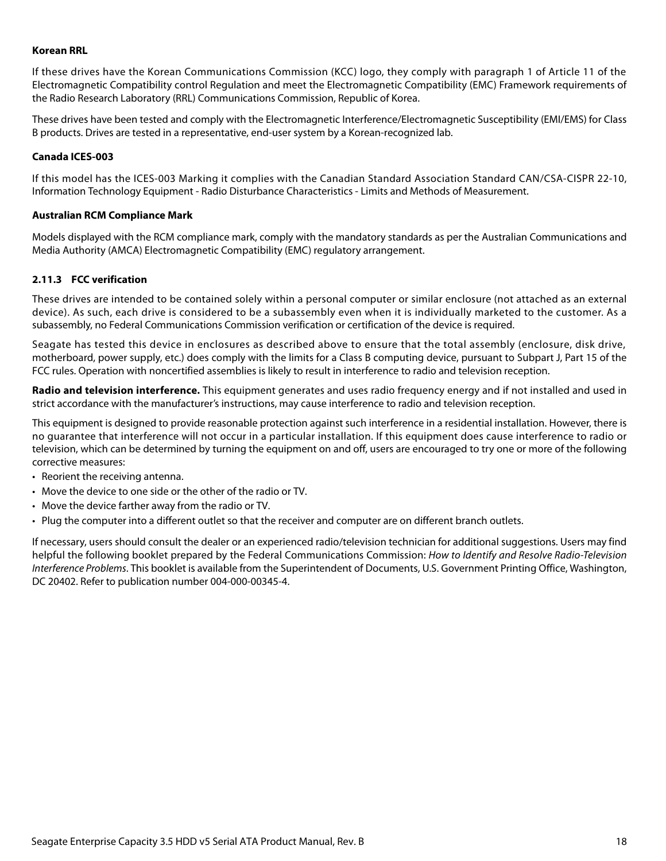#### **Korean RRL**

If these drives have the Korean Communications Commission (KCC) logo, they comply with paragraph 1 of Article 11 of the Electromagnetic Compatibility control Regulation and meet the Electromagnetic Compatibility (EMC) Framework requirements of the Radio Research Laboratory (RRL) Communications Commission, Republic of Korea.

These drives have been tested and comply with the Electromagnetic Interference/Electromagnetic Susceptibility (EMI/EMS) for Class B products. Drives are tested in a representative, end-user system by a Korean-recognized lab.

#### **Canada ICES-003**

If this model has the ICES-003 Marking it complies with the Canadian Standard Association Standard CAN/CSA-CISPR 22-10, Information Technology Equipment - Radio Disturbance Characteristics - Limits and Methods of Measurement.

#### **Australian RCM Compliance Mark**

Models displayed with the RCM compliance mark, comply with the mandatory standards as per the Australian Communications and Media Authority (AMCA) Electromagnetic Compatibility (EMC) regulatory arrangement.

#### <span id="page-18-0"></span>**2.11.3 FCC verification**

These drives are intended to be contained solely within a personal computer or similar enclosure (not attached as an external device). As such, each drive is considered to be a subassembly even when it is individually marketed to the customer. As a subassembly, no Federal Communications Commission verification or certification of the device is required.

Seagate has tested this device in enclosures as described above to ensure that the total assembly (enclosure, disk drive, motherboard, power supply, etc.) does comply with the limits for a Class B computing device, pursuant to Subpart J, Part 15 of the FCC rules. Operation with noncertified assemblies is likely to result in interference to radio and television reception.

**Radio and television interference.** This equipment generates and uses radio frequency energy and if not installed and used in strict accordance with the manufacturer's instructions, may cause interference to radio and television reception.

This equipment is designed to provide reasonable protection against such interference in a residential installation. However, there is no guarantee that interference will not occur in a particular installation. If this equipment does cause interference to radio or television, which can be determined by turning the equipment on and off, users are encouraged to try one or more of the following corrective measures:

- Reorient the receiving antenna.
- Move the device to one side or the other of the radio or TV.
- Move the device farther away from the radio or TV.
- Plug the computer into a different outlet so that the receiver and computer are on different branch outlets.

If necessary, users should consult the dealer or an experienced radio/television technician for additional suggestions. Users may find helpful the following booklet prepared by the Federal Communications Commission: How to Identify and Resolve Radio-Television Interference Problems. This booklet is available from the Superintendent of Documents, U.S. Government Printing Office, Washington, DC 20402. Refer to publication number 004-000-00345-4.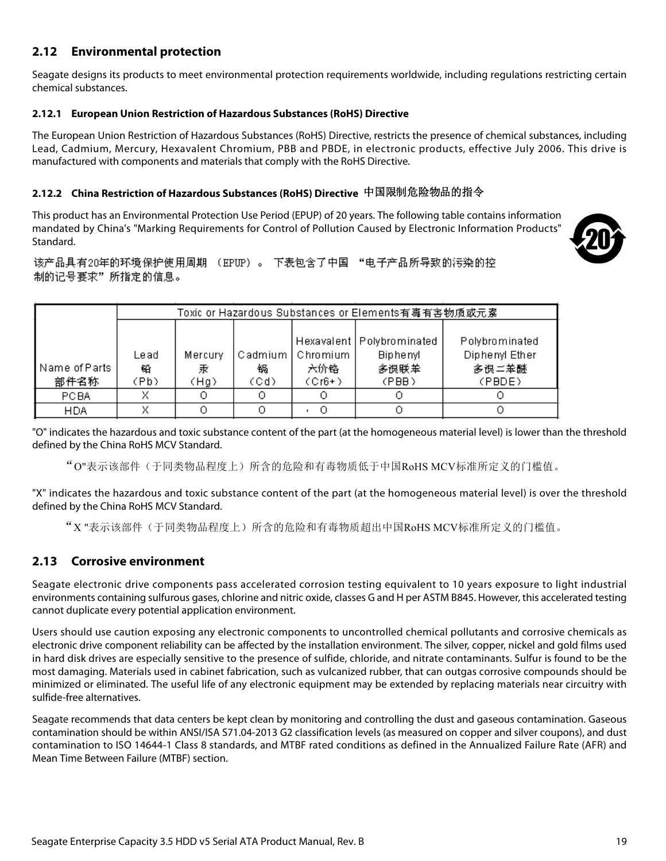## <span id="page-19-0"></span>**2.12 Environmental protection**

Seagate designs its products to meet environmental protection requirements worldwide, including regulations restricting certain chemical substances.

#### <span id="page-19-1"></span>**2.12.1 European Union Restriction of Hazardous Substances (RoHS) Directive**

The European Union Restriction of Hazardous Substances (RoHS) Directive, restricts the presence of chemical substances, including Lead, Cadmium, Mercury, Hexavalent Chromium, PBB and PBDE, in electronic products, effective July 2006. This drive is manufactured with components and materials that comply with the RoHS Directive.

## <span id="page-19-2"></span>**2.12.2 China Restriction of Hazardous Substances (RoHS) Directive**  中国限制危险物品的指令

This product has an Environmental Protection Use Period (EPUP) of 20 years. The following table contains information mandated by China's "Marking Requirements for Control of Pollution Caused by Electronic Information Products" Standard.



该产品具有20年的环境保护使用周期 (EPUP)。 下表包含了中国 "电子产品所导致的污染的控 制的记号要求"所指定的信息。

|               | Toxic or Hazardous Substances or Elements有毒有害物质或元素 |         |         |          |                             |                |
|---------------|----------------------------------------------------|---------|---------|----------|-----------------------------|----------------|
|               |                                                    |         |         |          |                             |                |
|               |                                                    |         |         |          | Hexavalent   Polybrominated | Polybrominated |
|               | Lead                                               | Mercury | Cadmium | Chromium | <b>Biphenyl</b>             | Diphenyl Ether |
| Name of Parts | 铅                                                  | 汞       | 锅       | 六价铬      | 多误联苯                        | 多误二苯醚          |
| 部件名称          | (Pb)                                               | (Hg)    | (Cd)    | $(Cr6+)$ | (PBB)                       | (PBDE)         |
| <b>PCBA</b>   | x                                                  |         | О       |          |                             |                |
| <b>HDA</b>    |                                                    |         |         |          |                             |                |

"O" indicates the hazardous and toxic substance content of the part (at the homogeneous material level) is lower than the threshold defined by the China RoHS MCV Standard.

"O"表示该部件(于同类物品程度上)所含的危险和有毒物质低于中国RoHS MCV标准所定义的门槛值。

"X" indicates the hazardous and toxic substance content of the part (at the homogeneous material level) is over the threshold defined by the China RoHS MCV Standard.

"X "表示该部件(于同类物品程度上)所含的危险和有毒物质超出中国RoHS MCV标准所定义的门槛值。

## <span id="page-19-3"></span>**2.13 Corrosive environment**

Seagate electronic drive components pass accelerated corrosion testing equivalent to 10 years exposure to light industrial environments containing sulfurous gases, chlorine and nitric oxide, classes G and H per ASTM B845. However, this accelerated testing cannot duplicate every potential application environment.

Users should use caution exposing any electronic components to uncontrolled chemical pollutants and corrosive chemicals as electronic drive component reliability can be affected by the installation environment. The silver, copper, nickel and gold films used in hard disk drives are especially sensitive to the presence of sulfide, chloride, and nitrate contaminants. Sulfur is found to be the most damaging. Materials used in cabinet fabrication, such as vulcanized rubber, that can outgas corrosive compounds should be minimized or eliminated. The useful life of any electronic equipment may be extended by replacing materials near circuitry with sulfide-free alternatives.

Seagate recommends that data centers be kept clean by monitoring and controlling the dust and gaseous contamination. Gaseous contamination should be within ANSI/ISA S71.04-2013 G2 classification levels (as measured on copper and silver coupons), and dust contamination to ISO 14644-1 Class 8 standards, and MTBF rated conditions as defined in the Annualized Failure Rate (AFR) and Mean Time Between Failure (MTBF) section.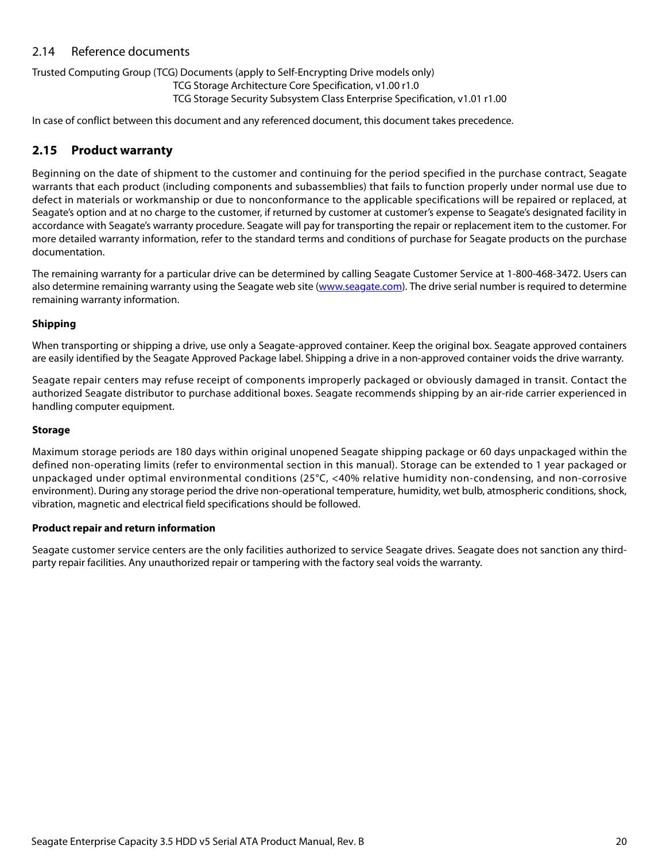## <span id="page-20-0"></span>2.14 Reference documents

#### Trusted Computing Group (TCG) Documents (apply to Self-Encrypting Drive models only)

TCG Storage Architecture Core Specification, v1.00 r1.0

TCG Storage Security Subsystem Class Enterprise Specification, v1.01 r1.00

In case of conflict between this document and any referenced document, this document takes precedence.

## <span id="page-20-1"></span>**2.15 Product warranty**

Beginning on the date of shipment to the customer and continuing for the period specified in the purchase contract, Seagate warrants that each product (including components and subassemblies) that fails to function properly under normal use due to defect in materials or workmanship or due to nonconformance to the applicable specifications will be repaired or replaced, at Seagate's option and at no charge to the customer, if returned by customer at customer's expense to Seagate's designated facility in accordance with Seagate's warranty procedure. Seagate will pay for transporting the repair or replacement item to the customer. For more detailed warranty information, refer to the standard terms and conditions of purchase for Seagate products on the purchase documentation.

[The remaining warranty for a particular drive can be determined by calling Seagate Customer Service at 1-800-468-3472. Users can](http://www.seagate.com) [also determine remaining warranty using the Seagate web site \(](http://www.seagate.com)www.seagate.com). The drive serial number is required to determine remaining warranty information.

#### **Shipping**

When transporting or shipping a drive, use only a Seagate-approved container. Keep the original box. Seagate approved containers are easily identified by the Seagate Approved Package label. Shipping a drive in a non-approved container voids the drive warranty.

Seagate repair centers may refuse receipt of components improperly packaged or obviously damaged in transit. Contact the authorized Seagate distributor to purchase additional boxes. Seagate recommends shipping by an air-ride carrier experienced in handling computer equipment.

#### **Storage**

Maximum storage periods are 180 days within original unopened Seagate shipping package or 60 days unpackaged within the defined non-operating limits (refer to environmental section in this manual). Storage can be extended to 1 year packaged or unpackaged under optimal environmental conditions (25°C, <40% relative humidity non-condensing, and non-corrosive environment). During any storage period the drive non-operational temperature, humidity, wet bulb, atmospheric conditions, shock, vibration, magnetic and electrical field specifications should be followed.

#### **Product repair and return information**

Seagate customer service centers are the only facilities authorized to service Seagate drives. Seagate does not sanction any thirdparty repair facilities. Any unauthorized repair or tampering with the factory seal voids the warranty.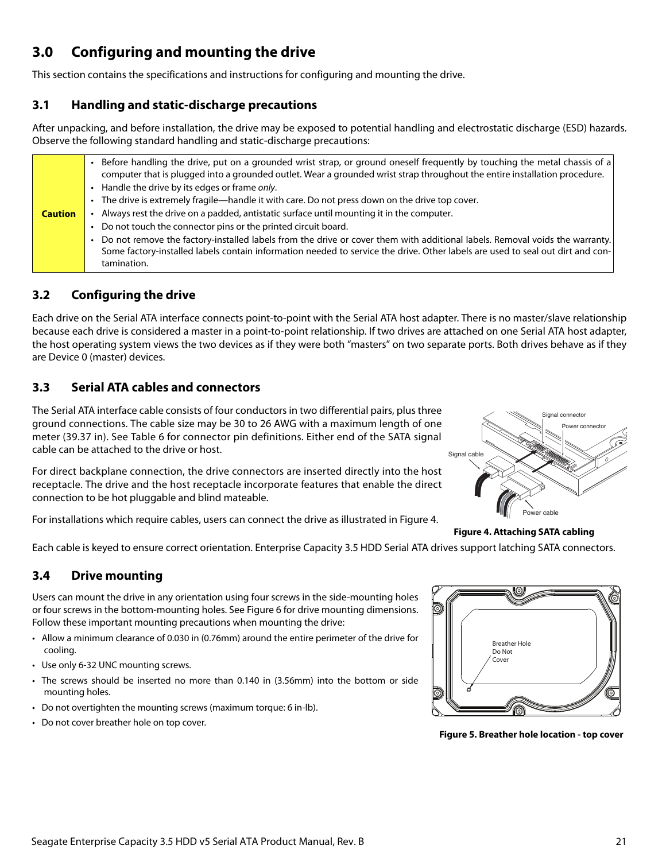## <span id="page-21-0"></span>**3.0 Configuring and mounting the drive**

This section contains the specifications and instructions for configuring and mounting the drive.

## <span id="page-21-1"></span>**3.1 Handling and static-discharge precautions**

After unpacking, and before installation, the drive may be exposed to potential handling and electrostatic discharge (ESD) hazards. Observe the following standard handling and static-discharge precautions:

| <b>Caution</b> | Before handling the drive, put on a grounded wrist strap, or ground oneself frequently by touching the metal chassis of a<br>computer that is plugged into a grounded outlet. Wear a grounded wrist strap throughout the entire installation procedure.<br>• Handle the drive by its edges or frame only.<br>• The drive is extremely fragile—handle it with care. Do not press down on the drive top cover.<br>Always rest the drive on a padded, antistatic surface until mounting it in the computer. |
|----------------|----------------------------------------------------------------------------------------------------------------------------------------------------------------------------------------------------------------------------------------------------------------------------------------------------------------------------------------------------------------------------------------------------------------------------------------------------------------------------------------------------------|
|                | • Do not touch the connector pins or the printed circuit board.<br>. Do not remove the factory-installed labels from the drive or cover them with additional labels. Removal voids the warranty.<br>Some factory-installed labels contain information needed to service the drive. Other labels are used to seal out dirt and con-<br>tamination.                                                                                                                                                        |

## <span id="page-21-2"></span>**3.2 Configuring the drive**

Each drive on the Serial ATA interface connects point-to-point with the Serial ATA host adapter. There is no master/slave relationship because each drive is considered a master in a point-to-point relationship. If two drives are attached on one Serial ATA host adapter, the host operating system views the two devices as if they were both "masters" on two separate ports. Both drives behave as if they are Device 0 (master) devices.

## <span id="page-21-3"></span>**3.3 Serial ATA cables and connectors**

The Serial ATA interface cable consists of four conductors in two differential pairs, plus three ground connections. The cable size may be 30 to 26 AWG with a maximum length of one meter (39.37 in). See Table 6 for connector pin definitions. Either end of the SATA signal cable can be attached to the drive or host.

For direct backplane connection, the drive connectors are inserted directly into the host receptacle. The drive and the host receptacle incorporate features that enable the direct connection to be hot pluggable and blind mateable.

<span id="page-21-5"></span>For installations which require cables, users can connect the drive as illustrated in Figure [4](#page-21-5).



**Figure 4. Attaching SATA cabling** 

Each cable is keyed to ensure correct orientation. Enterprise Capacity 3.5 HDD Serial ATA drives support latching SATA connectors.

## <span id="page-21-4"></span>**3.4 Drive mounting**

Users can mount the drive in any orientation using four screws in the side-mounting holes or four screws in the bottom-mounting holes. See Figure [6](#page-22-1) for drive mounting dimensions. Follow these important mounting precautions when mounting the drive:

- Allow a minimum clearance of 0.030 in (0.76mm) around the entire perimeter of the drive for cooling.
- Use only 6-32 UNC mounting screws.
- The screws should be inserted no more than 0.140 in (3.56mm) into the bottom or side mounting holes.
- Do not overtighten the mounting screws (maximum torque: 6 in-lb).
- Do not cover breather hole on top cover.

Breather Hole Do Not Cover

**Figure 5. Breather hole location - top cover**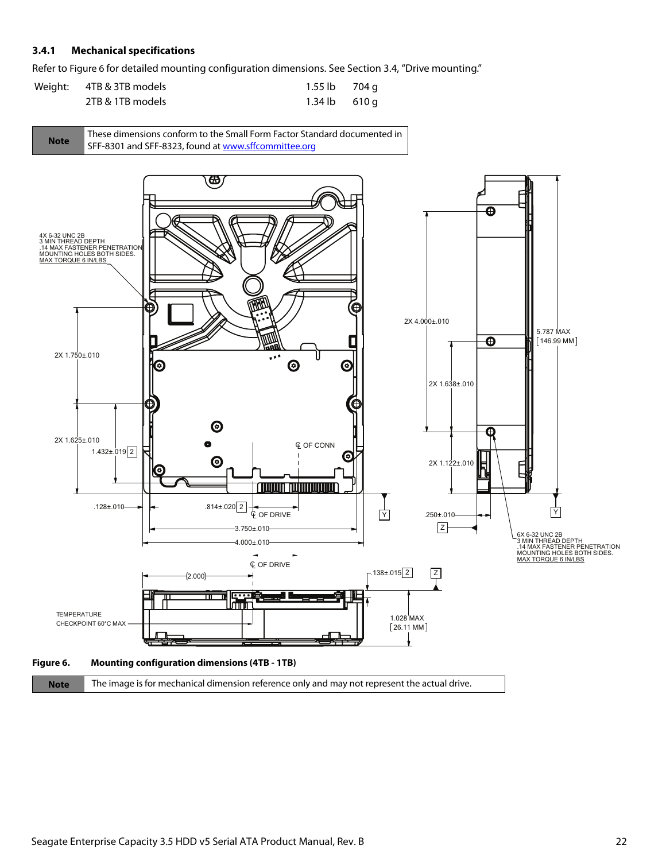#### <span id="page-22-0"></span>**3.4.1 Mechanical specifications**

Refer to Figure [6](#page-22-1) for detailed mounting configuration dimensions. See Section [3.4](#page-21-4), "Drive mounting."

| Weight: 4TB & 3TB models | 1.55 lb 704 g           |  |
|--------------------------|-------------------------|--|
| 2TB & 1TB models         | $1.34 \text{ lb}$ 610 q |  |



<span id="page-22-1"></span>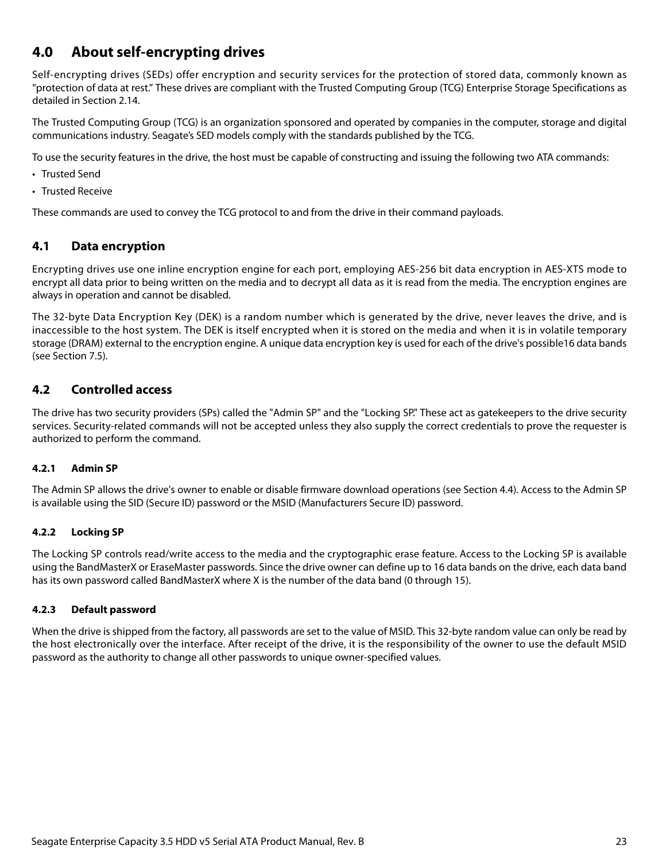## <span id="page-23-0"></span>**4.0 About self-encrypting drives**

Self-encrypting drives (SEDs) offer encryption and security services for the protection of stored data, commonly known as "protection of data at rest." These drives are compliant with the Trusted Computing Group (TCG) Enterprise Storage Specifications as detailed in [Section 2.14.](#page-20-0)

The Trusted Computing Group (TCG) is an organization sponsored and operated by companies in the computer, storage and digital communications industry. Seagate's SED models comply with the standards published by the TCG.

To use the security features in the drive, the host must be capable of constructing and issuing the following two ATA commands:

- Trusted Send
- Trusted Receive

These commands are used to convey the TCG protocol to and from the drive in their command payloads.

## <span id="page-23-1"></span>**4.1 Data encryption**

Encrypting drives use one inline encryption engine for each port, employing AES-256 bit data encryption in AES-XTS mode to encrypt all data prior to being written on the media and to decrypt all data as it is read from the media. The encryption engines are always in operation and cannot be disabled.

The 32-byte Data Encryption Key (DEK) is a random number which is generated by the drive, never leaves the drive, and is inaccessible to the host system. The DEK is itself encrypted when it is stored on the media and when it is in volatile temporary storage (DRAM) external to the encryption engine. A unique data encryption key is used for each of the drive's possible16 data bands (see Section 7.5).

## <span id="page-23-2"></span>**4.2 Controlled access**

The drive has two security providers (SPs) called the "Admin SP" and the "Locking SP." These act as gatekeepers to the drive security services. Security-related commands will not be accepted unless they also supply the correct credentials to prove the requester is authorized to perform the command.

#### <span id="page-23-3"></span>**4.2.1 Admin SP**

The Admin SP allows the drive's owner to enable or disable firmware download operations (see [Section 4.4](#page-24-1)). Access to the Admin SP is available using the SID (Secure ID) password or the MSID (Manufacturers Secure ID) password.

#### <span id="page-23-4"></span>**4.2.2 Locking SP**

The Locking SP controls read/write access to the media and the cryptographic erase feature. Access to the Locking SP is available using the BandMasterX or EraseMaster passwords. Since the drive owner can define up to 16 data bands on the drive, each data band has its own password called BandMasterX where X is the number of the data band (0 through 15).

#### <span id="page-23-5"></span>**4.2.3 Default password**

When the drive is shipped from the factory, all passwords are set to the value of MSID. This 32-byte random value can only be read by the host electronically over the interface. After receipt of the drive, it is the responsibility of the owner to use the default MSID password as the authority to change all other passwords to unique owner-specified values.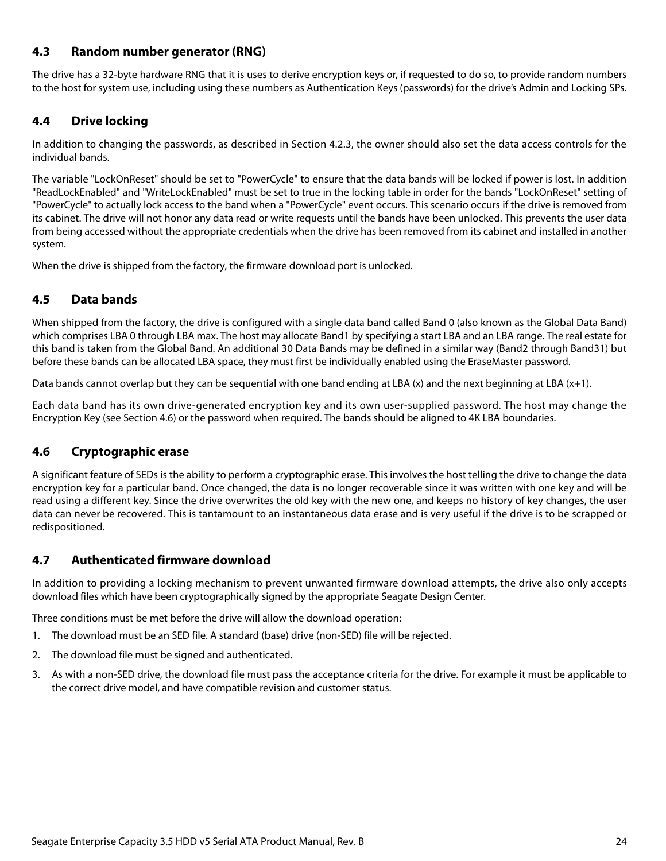## <span id="page-24-0"></span>**4.3 Random number generator (RNG)**

The drive has a 32-byte hardware RNG that it is uses to derive encryption keys or, if requested to do so, to provide random numbers to the host for system use, including using these numbers as Authentication Keys (passwords) for the drive's Admin and Locking SPs.

#### <span id="page-24-1"></span>**4.4 Drive locking**

In addition to changing the passwords, as described in [Section 4.2.3](#page-23-5), the owner should also set the data access controls for the individual bands.

The variable "LockOnReset" should be set to "PowerCycle" to ensure that the data bands will be locked if power is lost. In addition "ReadLockEnabled" and "WriteLockEnabled" must be set to true in the locking table in order for the bands "LockOnReset" setting of "PowerCycle" to actually lock access to the band when a "PowerCycle" event occurs. This scenario occurs if the drive is removed from its cabinet. The drive will not honor any data read or write requests until the bands have been unlocked. This prevents the user data from being accessed without the appropriate credentials when the drive has been removed from its cabinet and installed in another system.

When the drive is shipped from the factory, the firmware download port is unlocked.

## <span id="page-24-2"></span>**4.5 Data bands**

When shipped from the factory, the drive is configured with a single data band called Band 0 (also known as the Global Data Band) which comprises LBA 0 through LBA max. The host may allocate Band1 by specifying a start LBA and an LBA range. The real estate for this band is taken from the Global Band. An additional 30 Data Bands may be defined in a similar way (Band2 through Band31) but before these bands can be allocated LBA space, they must first be individually enabled using the EraseMaster password.

Data bands cannot overlap but they can be sequential with one band ending at LBA  $(x)$  and the next beginning at LBA  $(x+1)$ .

Each data band has its own drive-generated encryption key and its own user-supplied password. The host may change the Encryption Key (see [Section 4.6](#page-24-3)) or the password when required. The bands should be aligned to 4K LBA boundaries.

## <span id="page-24-3"></span>**4.6 Cryptographic erase**

A significant feature of SEDs is the ability to perform a cryptographic erase. This involves the host telling the drive to change the data encryption key for a particular band. Once changed, the data is no longer recoverable since it was written with one key and will be read using a different key. Since the drive overwrites the old key with the new one, and keeps no history of key changes, the user data can never be recovered. This is tantamount to an instantaneous data erase and is very useful if the drive is to be scrapped or redispositioned.

## <span id="page-24-4"></span>**4.7 Authenticated firmware download**

In addition to providing a locking mechanism to prevent unwanted firmware download attempts, the drive also only accepts download files which have been cryptographically signed by the appropriate Seagate Design Center.

Three conditions must be met before the drive will allow the download operation:

- 1. The download must be an SED file. A standard (base) drive (non-SED) file will be rejected.
- 2. The download file must be signed and authenticated.
- 3. As with a non-SED drive, the download file must pass the acceptance criteria for the drive. For example it must be applicable to the correct drive model, and have compatible revision and customer status.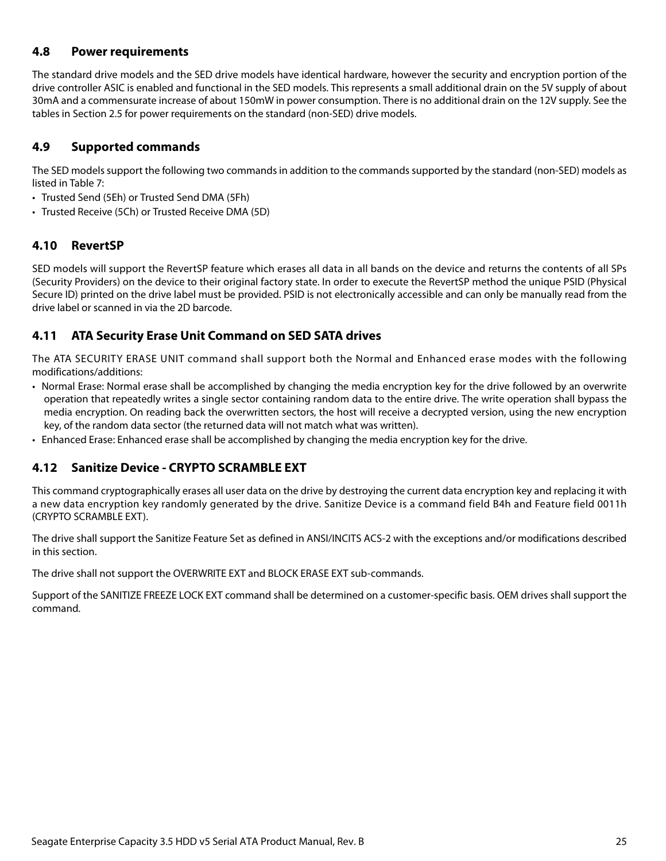## <span id="page-25-0"></span>**4.8 Power requirements**

The standard drive models and the SED drive models have identical hardware, however the security and encryption portion of the drive controller ASIC is enabled and functional in the SED models. This represents a small additional drain on the 5V supply of about 30mA and a commensurate increase of about 150mW in power consumption. There is no additional drain on the 12V supply. See the tables in [Section 2.5](#page-9-0) for power requirements on the standard (non-SED) drive models.

## <span id="page-25-1"></span>**4.9 Supported commands**

The SED models support the following two commands in addition to the commands supported by the standard (non-SED) models as listed in Table [7:](#page-28-1)

- Trusted Send (5Eh) or Trusted Send DMA (5Fh)
- Trusted Receive (5Ch) or Trusted Receive DMA (5D)

## <span id="page-25-2"></span>**4.10 RevertSP**

SED models will support the RevertSP feature which erases all data in all bands on the device and returns the contents of all SPs (Security Providers) on the device to their original factory state. In order to execute the RevertSP method the unique PSID (Physical Secure ID) printed on the drive label must be provided. PSID is not electronically accessible and can only be manually read from the drive label or scanned in via the 2D barcode.

## <span id="page-25-3"></span>**4.11 ATA Security Erase Unit Command on SED SATA drives**

The ATA SECURITY ERASE UNIT command shall support both the Normal and Enhanced erase modes with the following modifications/additions:

- Normal Erase: Normal erase shall be accomplished by changing the media encryption key for the drive followed by an overwrite operation that repeatedly writes a single sector containing random data to the entire drive. The write operation shall bypass the media encryption. On reading back the overwritten sectors, the host will receive a decrypted version, using the new encryption key, of the random data sector (the returned data will not match what was written).
- Enhanced Erase: Enhanced erase shall be accomplished by changing the media encryption key for the drive.

## <span id="page-25-4"></span>**4.12 Sanitize Device - CRYPTO SCRAMBLE EXT**

This command cryptographically erases all user data on the drive by destroying the current data encryption key and replacing it with a new data encryption key randomly generated by the drive. Sanitize Device is a command field B4h and Feature field 0011h (CRYPTO SCRAMBLE EXT).

The drive shall support the Sanitize Feature Set as defined in ANSI/INCITS ACS-2 with the exceptions and/or modifications described in this section.

The drive shall not support the OVERWRITE EXT and BLOCK ERASE EXT sub-commands.

Support of the SANITIZE FREEZE LOCK EXT command shall be determined on a customer-specific basis. OEM drives shall support the command.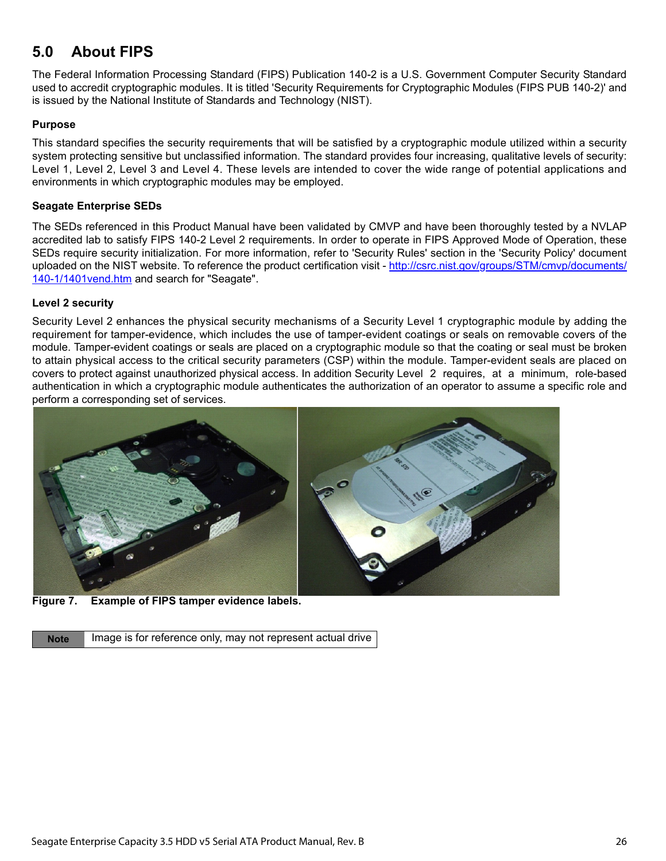## <span id="page-26-0"></span>**5.0 About FIPS**

The Federal Information Processing Standard (FIPS) Publication 140-2 is a U.S. Government Computer Security Standard used to accredit cryptographic modules. It is titled 'Security Requirements for Cryptographic Modules (FIPS PUB 140-2)' and is issued by the National Institute of Standards and Technology (NIST).

#### **Purpose**

This standard specifies the security requirements that will be satisfied by a cryptographic module utilized within a security system protecting sensitive but unclassified information. The standard provides four increasing, qualitative levels of security: Level 1, Level 2, Level 3 and Level 4. These levels are intended to cover the wide range of potential applications and environments in which cryptographic modules may be employed.

#### **Seagate Enterprise SEDs**

[The SEDs referenced in this Product Manual have been validated by CMVP and have been thoroughly tested by a NVLAP](http://csrc.nist.gov/groups/STM/cmvp/documents/140-1/1401vend.htm) accredited lab to satisfy FIPS 140-2 Level 2 requirements. In order to operate in FIPS Approved Mode of Operation, these SEDs require security initialization. For more information, refer to 'Security Rules' section in the 'Security Policy' document [uploaded on the NIST website. To reference the product certification visit - h](http://csrc.nist.gov/groups/STM/cmvp/documents/140-1/1401vend.htm)ttp://csrc.nist.gov/groups/STM/cmvp/documents/ 140-1/1401 vend.htm and search for "Seagate".

#### **Level 2 security**

Security Level 2 enhances the physical security mechanisms of a Security Level 1 cryptographic module by adding the requirement for tamper-evidence, which includes the use of tamper-evident coatings or seals on removable covers of the module. Tamper-evident coatings or seals are placed on a cryptographic module so that the coating or seal must be broken to attain physical access to the critical security parameters (CSP) within the module. Tamper-evident seals are placed on covers to protect against unauthorized physical access. In addition Security Level 2 requires, at a minimum, role-based authentication in which a cryptographic module authenticates the authorization of an operator to assume a specific role and perform a corresponding set of services.



**Figure 7. Example of FIPS tamper evidence labels.** 

**Note** Image is for reference only, may not represent actual drive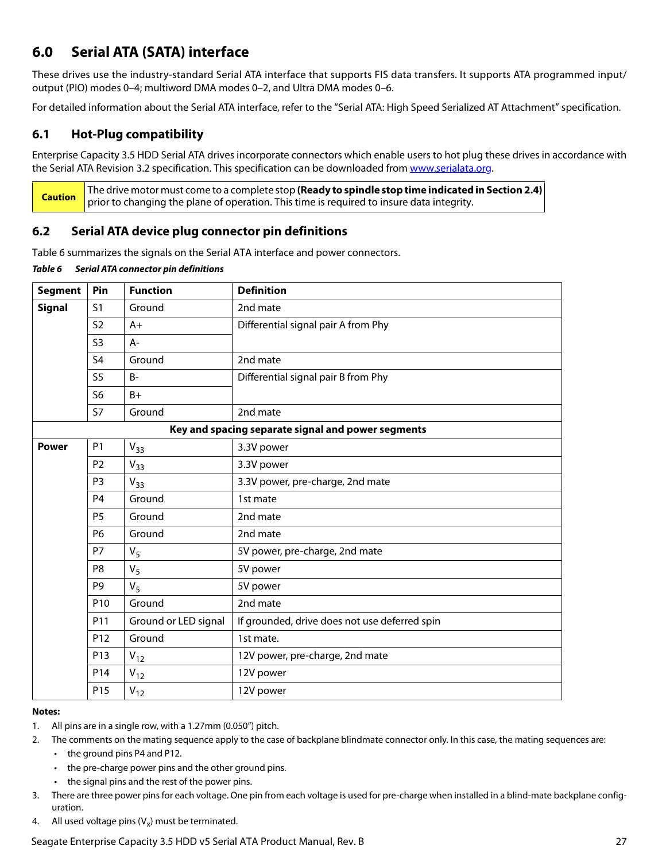## <span id="page-27-0"></span>**6.0 Serial ATA (SATA) interface**

These drives use the industry-standard Serial ATA interface that supports FIS data transfers. It supports ATA programmed input/ output (PIO) modes 0–4; multiword DMA modes 0–2, and Ultra DMA modes 0–6.

For detailed information about the Serial ATA interface, refer to the "Serial ATA: High Speed Serialized AT Attachment" specification.

## <span id="page-27-1"></span>**6.1 Hot-Plug compatibility**

Enterprise Capacity 3.5 HDD Serial ATA drives incorporate connectors which enable users to hot plug these drives in accordance with the Serial ATA Revision 3.2 specification. This specification can be downloaded from [www.serialata.org](http://www.serialata.org).

**Caution** The drive motor must come to a complete stop **(Ready to spindle stop time indicated in [Section 2.4\)](#page-8-3)** prior to changing the plane of operation. This time is required to insure data integrity.

## <span id="page-27-2"></span>**6.2 Serial ATA device plug connector pin definitions**

Table 6 summarizes the signals on the Serial ATA interface and power connectors.

| Table 6 | Serial ATA connector pin definitions |  |
|---------|--------------------------------------|--|
|         |                                      |  |

| <b>Segment</b>                                                                                         | Pin                                  | <b>Function</b>      | <b>Definition</b>                                  |
|--------------------------------------------------------------------------------------------------------|--------------------------------------|----------------------|----------------------------------------------------|
| <b>Signal</b>                                                                                          | S <sub>1</sub>                       | Ground               | 2nd mate                                           |
|                                                                                                        | <b>S2</b>                            | $A+$                 | Differential signal pair A from Phy                |
|                                                                                                        | S <sub>3</sub>                       | A-                   |                                                    |
|                                                                                                        | S <sub>4</sub>                       | Ground               | 2nd mate                                           |
|                                                                                                        | S <sub>5</sub>                       | <b>B-</b>            | Differential signal pair B from Phy                |
|                                                                                                        | S <sub>6</sub>                       | $B+$                 |                                                    |
|                                                                                                        | <b>S7</b>                            | Ground               | 2nd mate                                           |
|                                                                                                        |                                      |                      | Key and spacing separate signal and power segments |
| <b>Power</b>                                                                                           | P <sub>1</sub>                       | $V_{33}$             | 3.3V power                                         |
|                                                                                                        | P <sub>2</sub>                       | $V_{33}$             | 3.3V power                                         |
| P <sub>3</sub><br>3.3V power, pre-charge, 2nd mate<br>$V_{33}$<br>P <sub>4</sub><br>Ground<br>1st mate |                                      |                      |                                                    |
|                                                                                                        |                                      |                      |                                                    |
|                                                                                                        | P <sub>5</sub><br>Ground<br>2nd mate |                      |                                                    |
|                                                                                                        | <b>P6</b>                            | Ground               | 2nd mate                                           |
|                                                                                                        | <b>P7</b>                            | $V_5$                | 5V power, pre-charge, 2nd mate                     |
|                                                                                                        | P8                                   | $V_5$                | 5V power                                           |
|                                                                                                        | P <sub>9</sub>                       | $V_5$                | 5V power                                           |
|                                                                                                        | P <sub>10</sub>                      | Ground               | 2nd mate                                           |
|                                                                                                        | P11                                  | Ground or LED signal | If grounded, drive does not use deferred spin      |
|                                                                                                        | P <sub>12</sub>                      | Ground               | 1st mate.                                          |
|                                                                                                        | P13                                  | $V_{12}$             | 12V power, pre-charge, 2nd mate                    |
|                                                                                                        | P14                                  | $V_{12}$             | 12V power                                          |
|                                                                                                        | P <sub>15</sub>                      | $V_{12}$             | 12V power                                          |

#### **Notes:**

- 1. All pins are in a single row, with a 1.27mm (0.050") pitch.
- 2. The comments on the mating sequence apply to the case of backplane blindmate connector only. In this case, the mating sequences are:
	- the ground pins P4 and P12.
	- the pre-charge power pins and the other ground pins.
	- the signal pins and the rest of the power pins.
- 3. There are three power pins for each voltage. One pin from each voltage is used for pre-charge when installed in a blind-mate backplane configuration.
- 4. All used voltage pins  $(V_x)$  must be terminated.

Seagate Enterprise Capacity 3.5 HDD v5 Serial ATA Product Manual, Rev. B 27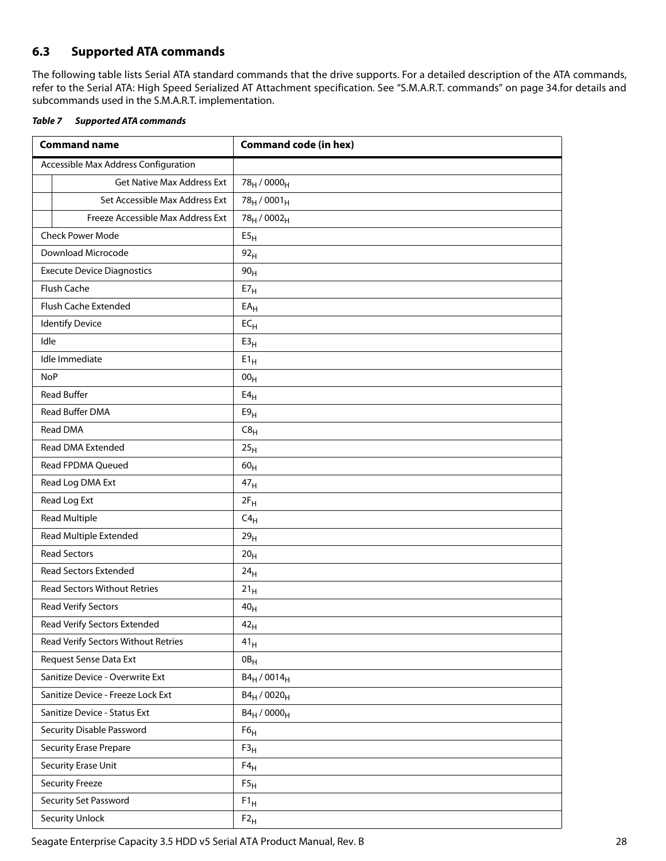## <span id="page-28-0"></span>**6.3 Supported ATA commands**

The following table lists Serial ATA standard commands that the drive supports. For a detailed description of the ATA commands, refer to the Serial ATA: High Speed Serialized AT Attachment specification. [See "S.M.A.R.T. commands" on page 34.f](#page-34-0)or details and subcommands used in the S.M.A.R.T. implementation.

<span id="page-28-1"></span>

| <b>Table 7 Supported ATA commands</b> |
|---------------------------------------|
|                                       |

| <b>Command name</b>                  | <b>Command code (in hex)</b>        |  |  |
|--------------------------------------|-------------------------------------|--|--|
| Accessible Max Address Configuration |                                     |  |  |
| <b>Get Native Max Address Ext</b>    | 78 <sub>H</sub> / 0000 <sub>H</sub> |  |  |
| Set Accessible Max Address Ext       | $78_H / 0001_H$                     |  |  |
| Freeze Accessible Max Address Ext    | 78 <sub>H</sub> / 0002 <sub>H</sub> |  |  |
| <b>Check Power Mode</b>              | E5 <sub>H</sub>                     |  |  |
| Download Microcode                   | 92 <sub>H</sub>                     |  |  |
| <b>Execute Device Diagnostics</b>    | 90 <sub>H</sub>                     |  |  |
| Flush Cache                          | $E7_H$                              |  |  |
| Flush Cache Extended                 | EA <sub>H</sub>                     |  |  |
| <b>Identify Device</b>               | $EC_{H}$                            |  |  |
| Idle                                 | E3 <sub>H</sub>                     |  |  |
| Idle Immediate                       | $E1_H$                              |  |  |
| <b>NoP</b>                           | 00 <sub>H</sub>                     |  |  |
| <b>Read Buffer</b>                   | E4 <sub>H</sub>                     |  |  |
| Read Buffer DMA                      | E9 <sub>H</sub>                     |  |  |
| Read DMA                             | C8 <sub>H</sub>                     |  |  |
| Read DMA Extended                    | 25 <sub>H</sub>                     |  |  |
| Read FPDMA Queued                    | 60 <sub>H</sub>                     |  |  |
| Read Log DMA Ext                     | 47 <sub>H</sub>                     |  |  |
| Read Log Ext                         | $2F_H$                              |  |  |
| <b>Read Multiple</b>                 | $C4_H$                              |  |  |
| Read Multiple Extended               | 29 <sub>H</sub>                     |  |  |
| <b>Read Sectors</b>                  | 20 <sub>H</sub>                     |  |  |
| Read Sectors Extended                | 24 <sub>H</sub>                     |  |  |
| <b>Read Sectors Without Retries</b>  | $21_H$                              |  |  |
| Read Verify Sectors                  | 40 <sub>H</sub>                     |  |  |
| Read Verify Sectors Extended         | 42 <sub>H</sub>                     |  |  |
| Read Verify Sectors Without Retries  | 41 <sub>H</sub>                     |  |  |
| Request Sense Data Ext               | $0B_H$                              |  |  |
| Sanitize Device - Overwrite Ext      | $B4_H / 0014_H$                     |  |  |
| Sanitize Device - Freeze Lock Ext    | $B4_H / 0020_H$                     |  |  |
| Sanitize Device - Status Ext         | $B4_H / 0000_H$                     |  |  |
| Security Disable Password            | F6 <sub>H</sub>                     |  |  |
| <b>Security Erase Prepare</b>        | F3 <sub>H</sub>                     |  |  |
| Security Erase Unit                  | $F4_H$                              |  |  |
| <b>Security Freeze</b>               | $\mathsf{F5}_\mathsf{H}$            |  |  |
| Security Set Password                | $F1_H$                              |  |  |
| <b>Security Unlock</b>               | $F2_H$                              |  |  |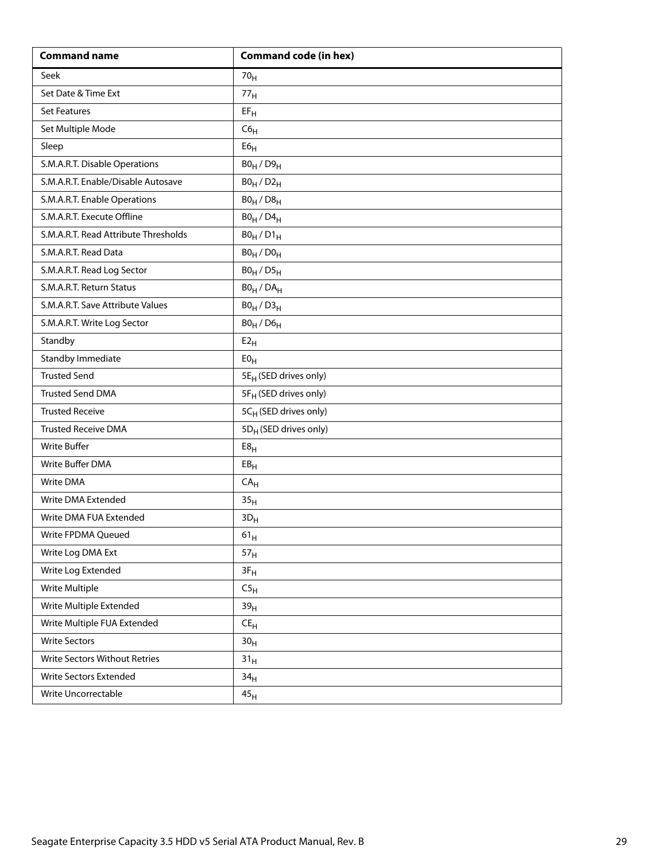| <b>Command name</b>                  | <b>Command code (in hex)</b>      |  |  |
|--------------------------------------|-----------------------------------|--|--|
| Seek                                 | 70 <sub>H</sub>                   |  |  |
| Set Date & Time Ext                  | 77 <sub>H</sub>                   |  |  |
| <b>Set Features</b>                  | $EF_H$                            |  |  |
| Set Multiple Mode                    | C6 <sub>H</sub>                   |  |  |
| Sleep                                | ${\sf E6}_{\sf H}$                |  |  |
| S.M.A.R.T. Disable Operations        | $B0_H / D9_H$                     |  |  |
| S.M.A.R.T. Enable/Disable Autosave   | $B0_H / D2_H$                     |  |  |
| S.M.A.R.T. Enable Operations         | $B0_H / D8_H$                     |  |  |
| S.M.A.R.T. Execute Offline           | $B0_H$ / $D4_H$                   |  |  |
| S.M.A.R.T. Read Attribute Thresholds | $B0_H / D1_H$                     |  |  |
| S.M.A.R.T. Read Data                 | $B0_H / D0_H$                     |  |  |
| S.M.A.R.T. Read Log Sector           | $B0_H / D5_H$                     |  |  |
| S.M.A.R.T. Return Status             | $BO_H / DA_H$                     |  |  |
| S.M.A.R.T. Save Attribute Values     | $B0_H / D3_H$                     |  |  |
| S.M.A.R.T. Write Log Sector          | $B0_H$ / $D6_H$                   |  |  |
| Standby                              | E2 <sub>H</sub>                   |  |  |
| <b>Standby Immediate</b>             | E0 <sub>H</sub>                   |  |  |
| <b>Trusted Send</b>                  | 5E <sub>H</sub> (SED drives only) |  |  |
| <b>Trusted Send DMA</b>              | 5F <sub>H</sub> (SED drives only) |  |  |
| <b>Trusted Receive</b>               | 5CH (SED drives only)             |  |  |
| <b>Trusted Receive DMA</b>           | 5D <sub>H</sub> (SED drives only) |  |  |
| <b>Write Buffer</b>                  | E8 <sub>H</sub>                   |  |  |
| Write Buffer DMA                     | EB <sub>H</sub>                   |  |  |
| Write DMA                            | CA <sub>H</sub>                   |  |  |
| Write DMA Extended                   | 35 <sub>H</sub>                   |  |  |
| Write DMA FUA Extended               | $3D_H$                            |  |  |
| Write FPDMA Queued                   | $61_{\rm H}$                      |  |  |
| Write Log DMA Ext                    | 57 <sub>H</sub>                   |  |  |
| Write Log Extended                   | $3F_H$                            |  |  |
| Write Multiple                       | C5 <sub>H</sub>                   |  |  |
| Write Multiple Extended              | 39 <sub>H</sub>                   |  |  |
| Write Multiple FUA Extended          | $\mathsf{CE}_\mathsf{H}$          |  |  |
| <b>Write Sectors</b>                 | 30 <sub>H</sub>                   |  |  |
| Write Sectors Without Retries        | 31 <sub>H</sub>                   |  |  |
| Write Sectors Extended               | 34 <sub>H</sub>                   |  |  |
| Write Uncorrectable                  | 45 <sub>H</sub>                   |  |  |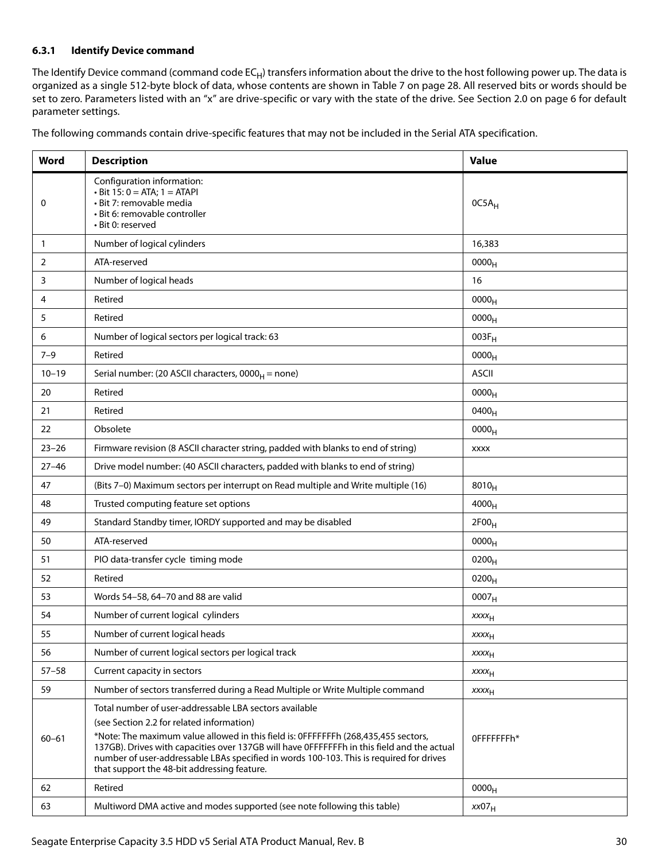#### <span id="page-30-0"></span>**6.3.1 Identify Device command**

The Identify Device command (command code  $EC_H$ ) transfers information about the drive to the host following power up. The data is organized as a single 512-byte block of data, whose contents are shown in [Table 7](#page-28-1) on [page 28.](#page-28-1) All reserved bits or words should be set to zero. Parameters listed with an "x" are drive-specific or vary with the state of the drive. [See Section 2.0 on page 6](#page-6-0) for default parameter settings.

| The following commands contain drive-specific features that may not be included in the Serial ATA specification. |  |  |
|------------------------------------------------------------------------------------------------------------------|--|--|
|                                                                                                                  |  |  |

| Word         | <b>Description</b>                                                                                                                                                                                                                                                                                                                                                                                                                | <b>Value</b>            |
|--------------|-----------------------------------------------------------------------------------------------------------------------------------------------------------------------------------------------------------------------------------------------------------------------------------------------------------------------------------------------------------------------------------------------------------------------------------|-------------------------|
| 0            | Configuration information:<br>$\cdot$ Bit 15: 0 = ATA; 1 = ATAPI<br>· Bit 7: removable media<br>· Bit 6: removable controller<br>· Bit 0: reserved                                                                                                                                                                                                                                                                                | $OC5A_H$                |
| $\mathbf{1}$ | Number of logical cylinders                                                                                                                                                                                                                                                                                                                                                                                                       | 16,383                  |
| 2            | ATA-reserved                                                                                                                                                                                                                                                                                                                                                                                                                      | 0000 <sub>H</sub>       |
| 3            | Number of logical heads                                                                                                                                                                                                                                                                                                                                                                                                           | 16                      |
| 4            | Retired                                                                                                                                                                                                                                                                                                                                                                                                                           | 0000 <sub>H</sub>       |
| 5            | Retired                                                                                                                                                                                                                                                                                                                                                                                                                           | 0000 <sub>H</sub>       |
| 6            | Number of logical sectors per logical track: 63                                                                                                                                                                                                                                                                                                                                                                                   | $003F_H$                |
| $7 - 9$      | Retired                                                                                                                                                                                                                                                                                                                                                                                                                           | 0000 <sub>H</sub>       |
| $10 - 19$    | Serial number: (20 ASCII characters, $0000_H$ = none)                                                                                                                                                                                                                                                                                                                                                                             | <b>ASCII</b>            |
| 20           | Retired                                                                                                                                                                                                                                                                                                                                                                                                                           | 0000 <sub>H</sub>       |
| 21           | Retired                                                                                                                                                                                                                                                                                                                                                                                                                           | 0400 <sub>H</sub>       |
| 22           | Obsolete                                                                                                                                                                                                                                                                                                                                                                                                                          | 0000 <sub>H</sub>       |
| $23 - 26$    | Firmware revision (8 ASCII character string, padded with blanks to end of string)                                                                                                                                                                                                                                                                                                                                                 | <b>XXXX</b>             |
| $27 - 46$    | Drive model number: (40 ASCII characters, padded with blanks to end of string)                                                                                                                                                                                                                                                                                                                                                    |                         |
| 47           | (Bits 7-0) Maximum sectors per interrupt on Read multiple and Write multiple (16)                                                                                                                                                                                                                                                                                                                                                 | $8010_H$                |
| 48           | Trusted computing feature set options                                                                                                                                                                                                                                                                                                                                                                                             | $4000_H$                |
| 49           | Standard Standby timer, IORDY supported and may be disabled                                                                                                                                                                                                                                                                                                                                                                       | 2F00 <sub>H</sub>       |
| 50           | ATA-reserved                                                                                                                                                                                                                                                                                                                                                                                                                      | 0000 <sub>H</sub>       |
| 51           | PIO data-transfer cycle timing mode                                                                                                                                                                                                                                                                                                                                                                                               | 0200 <sub>H</sub>       |
| 52           | Retired                                                                                                                                                                                                                                                                                                                                                                                                                           | $0200_{H}$              |
| 53           | Words 54-58, 64-70 and 88 are valid                                                                                                                                                                                                                                                                                                                                                                                               | 0007 <sub>H</sub>       |
| 54           | Number of current logical cylinders                                                                                                                                                                                                                                                                                                                                                                                               | XXXH                    |
| 55           | Number of current logical heads                                                                                                                                                                                                                                                                                                                                                                                                   | $xxxx_{H}$              |
| 56           | Number of current logical sectors per logical track                                                                                                                                                                                                                                                                                                                                                                               | <b>XXXX<sub>H</sub></b> |
| $57 - 58$    | Current capacity in sectors                                                                                                                                                                                                                                                                                                                                                                                                       | <b>XXXX<sub>H</sub></b> |
| 59           | Number of sectors transferred during a Read Multiple or Write Multiple command                                                                                                                                                                                                                                                                                                                                                    | $xxxx_{H}$              |
| $60 - 61$    | Total number of user-addressable LBA sectors available<br>(see Section 2.2 for related information)<br>*Note: The maximum value allowed in this field is: OFFFFFFFh (268,435,455 sectors,<br>137GB). Drives with capacities over 137GB will have OFFFFFFFh in this field and the actual<br>number of user-addressable LBAs specified in words 100-103. This is required for drives<br>that support the 48-bit addressing feature. | OFFFFFFFh*              |
| 62           | Retired                                                                                                                                                                                                                                                                                                                                                                                                                           | 0000 <sub>H</sub>       |
| 63           | Multiword DMA active and modes supported (see note following this table)                                                                                                                                                                                                                                                                                                                                                          | xx07 <sub>H</sub>       |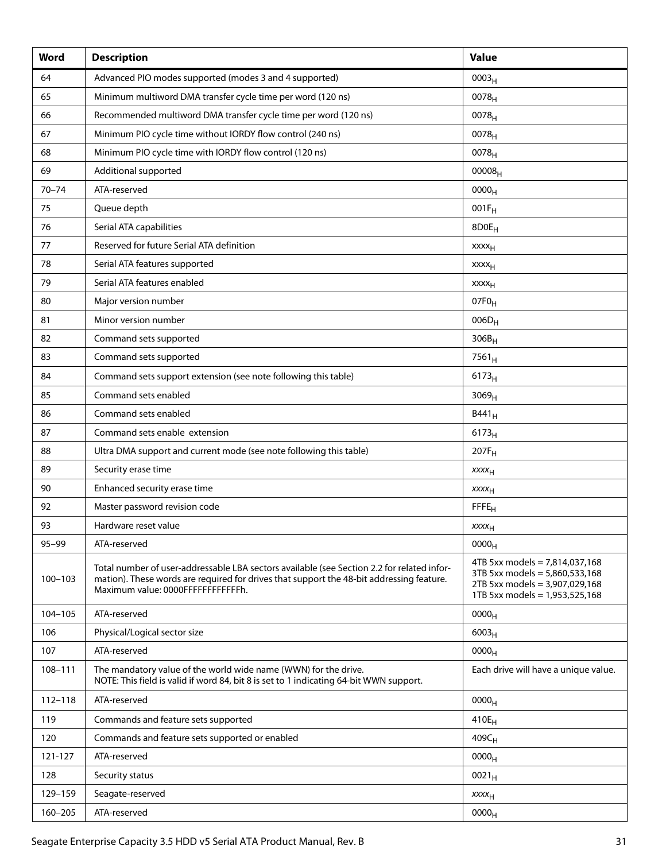| Word        | <b>Description</b>                                                                                                                                                                                                           | <b>Value</b>                                                                                                                           |
|-------------|------------------------------------------------------------------------------------------------------------------------------------------------------------------------------------------------------------------------------|----------------------------------------------------------------------------------------------------------------------------------------|
| 64          | Advanced PIO modes supported (modes 3 and 4 supported)                                                                                                                                                                       | 0003 <sub>H</sub>                                                                                                                      |
| 65          | Minimum multiword DMA transfer cycle time per word (120 ns)                                                                                                                                                                  | 0078 <sub>H</sub>                                                                                                                      |
| 66          | Recommended multiword DMA transfer cycle time per word (120 ns)                                                                                                                                                              | $0078_{H}$                                                                                                                             |
| 67          | Minimum PIO cycle time without IORDY flow control (240 ns)                                                                                                                                                                   | 0078 <sub>H</sub>                                                                                                                      |
| 68          | Minimum PIO cycle time with IORDY flow control (120 ns)                                                                                                                                                                      | $0078_{H}$                                                                                                                             |
| 69          | Additional supported                                                                                                                                                                                                         | 00008 <sub>H</sub>                                                                                                                     |
| $70 - 74$   | ATA-reserved                                                                                                                                                                                                                 | 0000 <sub>H</sub>                                                                                                                      |
| 75          | Queue depth                                                                                                                                                                                                                  | $001F_H$                                                                                                                               |
| 76          | Serial ATA capabilities                                                                                                                                                                                                      | 8D0E <sub>H</sub>                                                                                                                      |
| 77          | Reserved for future Serial ATA definition                                                                                                                                                                                    | xxxx <sub>H</sub>                                                                                                                      |
| 78          | Serial ATA features supported                                                                                                                                                                                                | xxxx <sub>H</sub>                                                                                                                      |
| 79          | Serial ATA features enabled                                                                                                                                                                                                  | <b>xxxx</b> <sub>H</sub>                                                                                                               |
| 80          | Major version number                                                                                                                                                                                                         | 07F <sub>0H</sub>                                                                                                                      |
| 81          | Minor version number                                                                                                                                                                                                         | $006D_H$                                                                                                                               |
| 82          | Command sets supported                                                                                                                                                                                                       | $306B_H$                                                                                                                               |
| 83          | Command sets supported                                                                                                                                                                                                       | $7561_H$                                                                                                                               |
| 84          | Command sets support extension (see note following this table)                                                                                                                                                               | $6173_H$                                                                                                                               |
| 85          | Command sets enabled                                                                                                                                                                                                         | 3069 <sub>H</sub>                                                                                                                      |
| 86          | Command sets enabled                                                                                                                                                                                                         | B441 <sub>H</sub>                                                                                                                      |
| 87          | Command sets enable extension                                                                                                                                                                                                | $6173_H$                                                                                                                               |
| 88          | Ultra DMA support and current mode (see note following this table)                                                                                                                                                           | $207F_H$                                                                                                                               |
| 89          | Security erase time                                                                                                                                                                                                          | $xxxx_{H}$                                                                                                                             |
| 90          | Enhanced security erase time                                                                                                                                                                                                 | $xxxx_{H}$                                                                                                                             |
| 92          | Master password revision code                                                                                                                                                                                                | <b>FFFE<sub>H</sub></b>                                                                                                                |
| 93          | Hardware reset value                                                                                                                                                                                                         | XXXH                                                                                                                                   |
| $95 - 99$   | ATA-reserved                                                                                                                                                                                                                 | 0000 <sub>H</sub>                                                                                                                      |
| $100 - 103$ | Total number of user-addressable LBA sectors available (see Section 2.2 for related infor-<br>mation). These words are required for drives that support the 48-bit addressing feature.<br>Maximum value: 0000FFFFFFFFFFFFFh. | 4TB 5xx models = $7,814,037,168$<br>3TB 5xx models = 5,860,533,168<br>2TB 5xx models = 3,907,029,168<br>1TB 5xx models = 1,953,525,168 |
| 104-105     | ATA-reserved                                                                                                                                                                                                                 | 0000 <sub>H</sub>                                                                                                                      |
| 106         | Physical/Logical sector size                                                                                                                                                                                                 | $6003_H$                                                                                                                               |
| 107         | ATA-reserved                                                                                                                                                                                                                 | 0000 <sub>H</sub>                                                                                                                      |
| 108-111     | The mandatory value of the world wide name (WWN) for the drive.<br>NOTE: This field is valid if word 84, bit 8 is set to 1 indicating 64-bit WWN support.                                                                    | Each drive will have a unique value.                                                                                                   |
| 112-118     | ATA-reserved                                                                                                                                                                                                                 | 0000 <sub>H</sub>                                                                                                                      |
| 119         | Commands and feature sets supported                                                                                                                                                                                          | $410E_H$                                                                                                                               |
| 120         | Commands and feature sets supported or enabled                                                                                                                                                                               | $409C_H$                                                                                                                               |
| 121-127     | ATA-reserved                                                                                                                                                                                                                 | 0000 <sub>H</sub>                                                                                                                      |
| 128         | Security status                                                                                                                                                                                                              | $0021_H$                                                                                                                               |
| 129-159     | Seagate-reserved                                                                                                                                                                                                             | $xxxx_{H}$                                                                                                                             |
| 160-205     | ATA-reserved                                                                                                                                                                                                                 | 0000 <sub>H</sub>                                                                                                                      |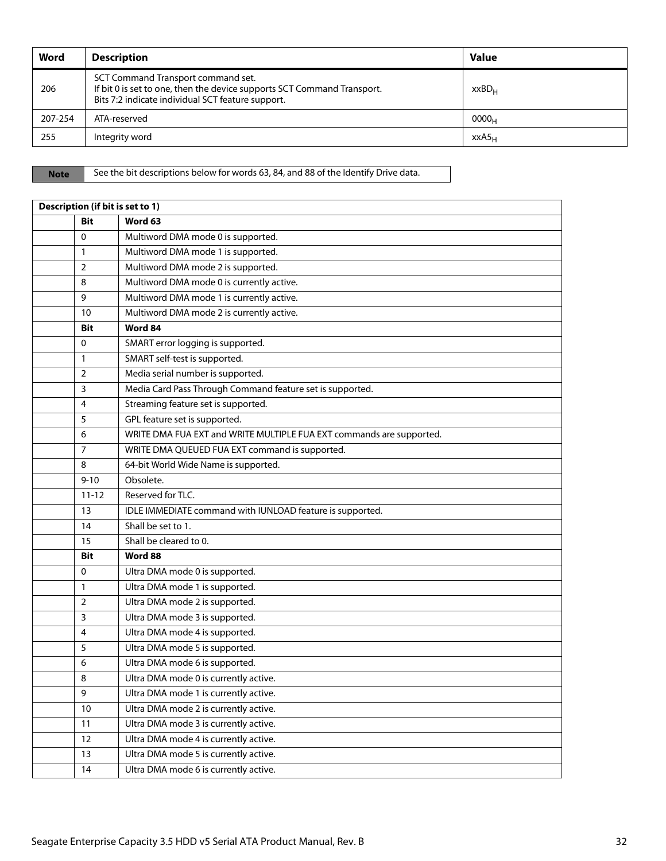| Word    | <b>Description</b>                                                                                                                                                 | <b>Value</b>      |
|---------|--------------------------------------------------------------------------------------------------------------------------------------------------------------------|-------------------|
| 206     | SCT Command Transport command set.<br>If bit 0 is set to one, then the device supports SCT Command Transport.<br>Bits 7:2 indicate individual SCT feature support. | xxBD <sub>H</sub> |
| 207-254 | ATA-reserved                                                                                                                                                       | 0000 <sub>H</sub> |
| 255     | Integrity word                                                                                                                                                     | XXAS <sub>H</sub> |

Note See the bit descriptions below for words 63, 84, and 88 of the Identify Drive data.

| Description (if bit is set to 1) |                                                                      |  |  |  |
|----------------------------------|----------------------------------------------------------------------|--|--|--|
| <b>Bit</b>                       | Word 63                                                              |  |  |  |
| $\mathbf 0$                      | Multiword DMA mode 0 is supported.                                   |  |  |  |
| 1                                | Multiword DMA mode 1 is supported.                                   |  |  |  |
| $\overline{2}$                   | Multiword DMA mode 2 is supported.                                   |  |  |  |
| 8                                | Multiword DMA mode 0 is currently active.                            |  |  |  |
| 9                                | Multiword DMA mode 1 is currently active.                            |  |  |  |
| 10                               | Multiword DMA mode 2 is currently active.                            |  |  |  |
| <b>Bit</b>                       | Word 84                                                              |  |  |  |
| 0                                | SMART error logging is supported.                                    |  |  |  |
| 1                                | SMART self-test is supported.                                        |  |  |  |
| $\overline{2}$                   | Media serial number is supported.                                    |  |  |  |
| 3                                | Media Card Pass Through Command feature set is supported.            |  |  |  |
| 4                                | Streaming feature set is supported.                                  |  |  |  |
| 5                                | GPL feature set is supported.                                        |  |  |  |
| 6                                | WRITE DMA FUA EXT and WRITE MULTIPLE FUA EXT commands are supported. |  |  |  |
| 7                                | WRITE DMA QUEUED FUA EXT command is supported.                       |  |  |  |
| 8                                | 64-bit World Wide Name is supported.                                 |  |  |  |
| $9 - 10$                         | Obsolete.                                                            |  |  |  |
| $11 - 12$                        | Reserved for TLC.                                                    |  |  |  |
| 13                               | IDLE IMMEDIATE command with IUNLOAD feature is supported.            |  |  |  |
| 14                               | Shall be set to 1.                                                   |  |  |  |
| 15                               | Shall be cleared to 0.                                               |  |  |  |
| <b>Bit</b>                       | Word 88                                                              |  |  |  |
| 0                                | Ultra DMA mode 0 is supported.                                       |  |  |  |
| 1                                | Ultra DMA mode 1 is supported.                                       |  |  |  |
| 2                                | Ultra DMA mode 2 is supported.                                       |  |  |  |
| 3                                | Ultra DMA mode 3 is supported.                                       |  |  |  |
| 4                                | Ultra DMA mode 4 is supported.                                       |  |  |  |
| 5                                | Ultra DMA mode 5 is supported.                                       |  |  |  |
| 6                                | Ultra DMA mode 6 is supported.                                       |  |  |  |
| 8                                | Ultra DMA mode 0 is currently active.                                |  |  |  |
| 9                                | Ultra DMA mode 1 is currently active.                                |  |  |  |
| 10                               | Ultra DMA mode 2 is currently active.                                |  |  |  |
| 11                               | Ultra DMA mode 3 is currently active.                                |  |  |  |
| 12                               | Ultra DMA mode 4 is currently active.                                |  |  |  |
| 13                               | Ultra DMA mode 5 is currently active.                                |  |  |  |
| 14                               | Ultra DMA mode 6 is currently active.                                |  |  |  |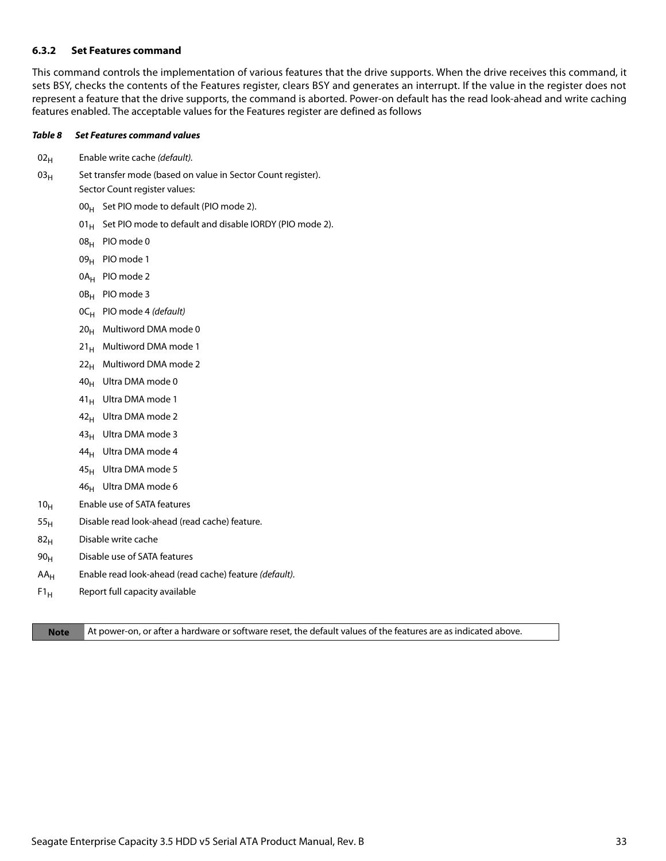#### <span id="page-33-0"></span>**6.3.2 Set Features command**

This command controls the implementation of various features that the drive supports. When the drive receives this command, it sets BSY, checks the contents of the Features register, clears BSY and generates an interrupt. If the value in the register does not represent a feature that the drive supports, the command is aborted. Power-on default has the read look-ahead and write caching features enabled. The acceptable values for the Features register are defined as follows

#### *Table 8 Set Features command values*

- $02_H$  Enable write cache (default).
- $03_H$  Set transfer mode (based on value in Sector Count register). Sector Count register values:
	- $00_H$  Set PIO mode to default (PIO mode 2).
	- 01 $_{\rm H}$  Set PIO mode to default and disable IORDY (PIO mode 2).
	- 08H PIO mode 0
	- 09<sub>H</sub> PIO mode 1
	- 0A<sub>H</sub> PIO mode 2
	- 0B<sub>H</sub> PIO mode 3
	- $OC_H$  PIO mode 4 (default)
	- $20_H$  Multiword DMA mode 0
	- $21_H$  Multiword DMA mode 1
	- $22<sub>H</sub>$  Multiword DMA mode 2
	- 40<sub>H</sub> Ultra DMA mode 0
	- 41<sub>H</sub> Ultra DMA mode 1
	- $42_H$  Ultra DMA mode 2
	- 43<sub>H</sub> Ultra DMA mode 3
	- $44_H$  Ultra DMA mode 4
	- $45_H$  Ultra DMA mode 5
	- $46_H$  Ultra DMA mode 6
- 10<sub>H</sub> Enable use of SATA features
- $55<sub>H</sub>$  Disable read look-ahead (read cache) feature.
- $82<sub>H</sub>$  Disable write cache
- $90<sub>H</sub>$  Disable use of SATA features
- $AA_H$  Enable read look-ahead (read cache) feature (default).
- $F1_H$  Report full capacity available

**Note** At power-on, or after a hardware or software reset, the default values of the features are as indicated above.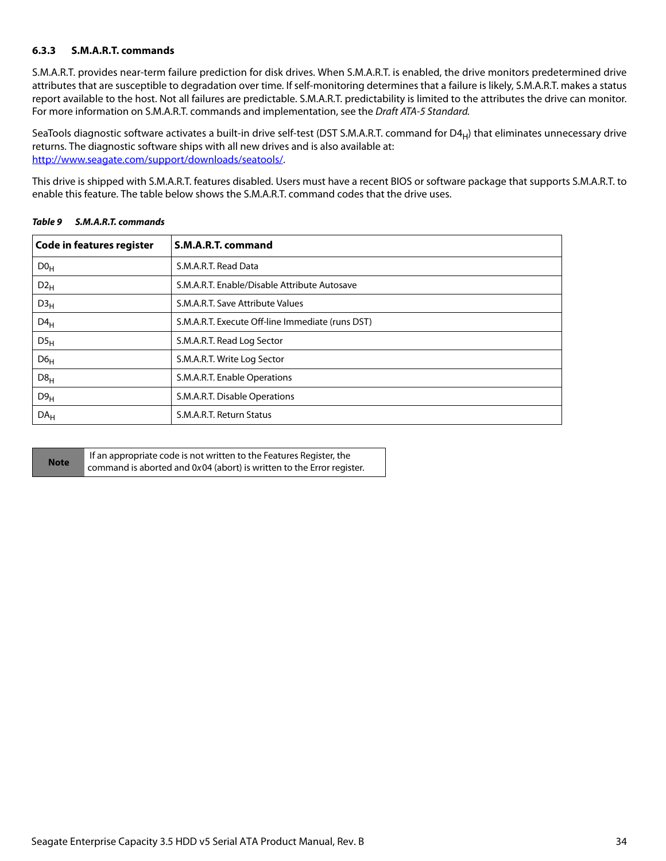#### <span id="page-34-0"></span>**6.3.3 S.M.A.R.T. commands**

S.M.A.R.T. provides near-term failure prediction for disk drives. When S.M.A.R.T. is enabled, the drive monitors predetermined drive attributes that are susceptible to degradation over time. If self-monitoring determines that a failure is likely, S.M.A.R.T. makes a status report available to the host. Not all failures are predictable. S.M.A.R.T. predictability is limited to the attributes the drive can monitor. For more information on S.M.A.R.T. commands and implementation, see the Draft ATA-5 Standard.

SeaTools diagnostic software activates a built-in drive self-test (DST S.M.A.R.T. command for  $D4_H$ ) that eliminates unnecessary drive returns. The diagnostic software ships with all new drives and is also available at: [http://www.seagate.com/support/downloads/seatools/](http://www.seagate.com/support/downloads/seatools/ ).

This drive is shipped with S.M.A.R.T. features disabled. Users must have a recent BIOS or software package that supports S.M.A.R.T. to enable this feature. The table below shows the S.M.A.R.T. command codes that the drive uses.

| Code in features register | S.M.A.R.T. command                               |
|---------------------------|--------------------------------------------------|
| D0 <sub>H</sub>           | S.M.A.R.T. Read Data                             |
| $D2_H$                    | S.M.A.R.T. Enable/Disable Attribute Autosave     |
| D3 <sub>H</sub>           | S.M.A.R.T. Save Attribute Values                 |
| $D4_H$                    | S.M.A.R.T. Execute Off-line Immediate (runs DST) |
| $DS_{H}$                  | S.M.A.R.T. Read Log Sector                       |
| D6 <sub>H</sub>           | S.M.A.R.T. Write Log Sector                      |
| D8 <sub>H</sub>           | S.M.A.R.T. Enable Operations                     |
| D9 <sub>H</sub>           | S.M.A.R.T. Disable Operations                    |
| DA <sub>H</sub>           | S.M.A.R.T. Return Status                         |

#### *Table 9 S.M.A.R.T. commands*

|             | If an appropriate code is not written to the Features Register, the   |
|-------------|-----------------------------------------------------------------------|
| <b>Note</b> | command is aborted and 0x04 (abort) is written to the Error register. |